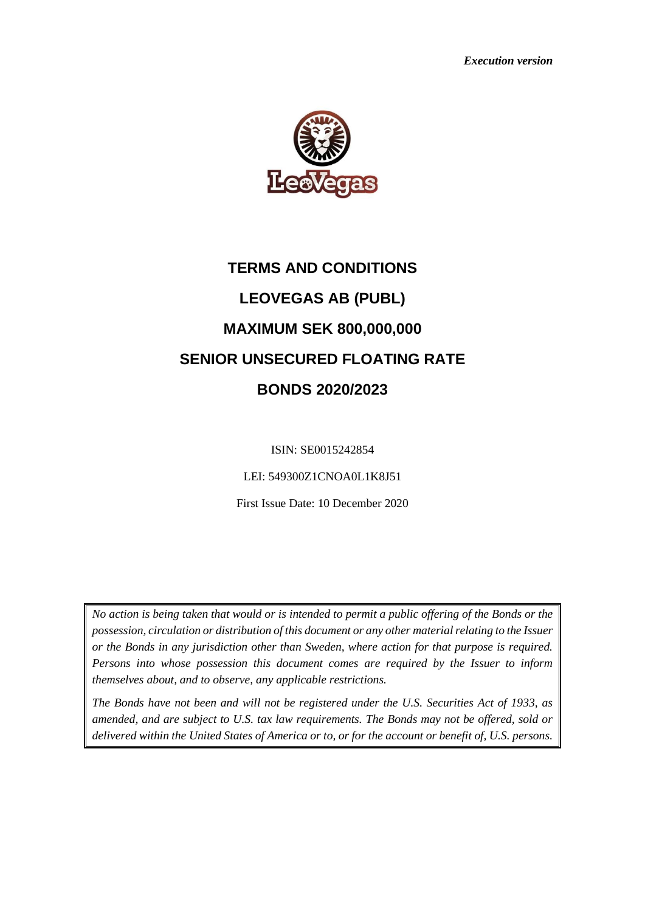*Execution version*



# **TERMS AND CONDITIONS LEOVEGAS AB (PUBL) MAXIMUM SEK 800,000,000 SENIOR UNSECURED FLOATING RATE BONDS 2020/2023**

ISIN: SE0015242854

LEI: 549300Z1CNOA0L1K8J51

First Issue Date: 10 December 2020

*No action is being taken that would or is intended to permit a public offering of the Bonds or the possession, circulation or distribution of this document or any other material relating to the Issuer or the Bonds in any jurisdiction other than Sweden, where action for that purpose is required. Persons into whose possession this document comes are required by the Issuer to inform themselves about, and to observe, any applicable restrictions.*

*The Bonds have not been and will not be registered under the U.S. Securities Act of 1933, as amended, and are subject to U.S. tax law requirements. The Bonds may not be offered, sold or delivered within the United States of America or to, or for the account or benefit of, U.S. persons.*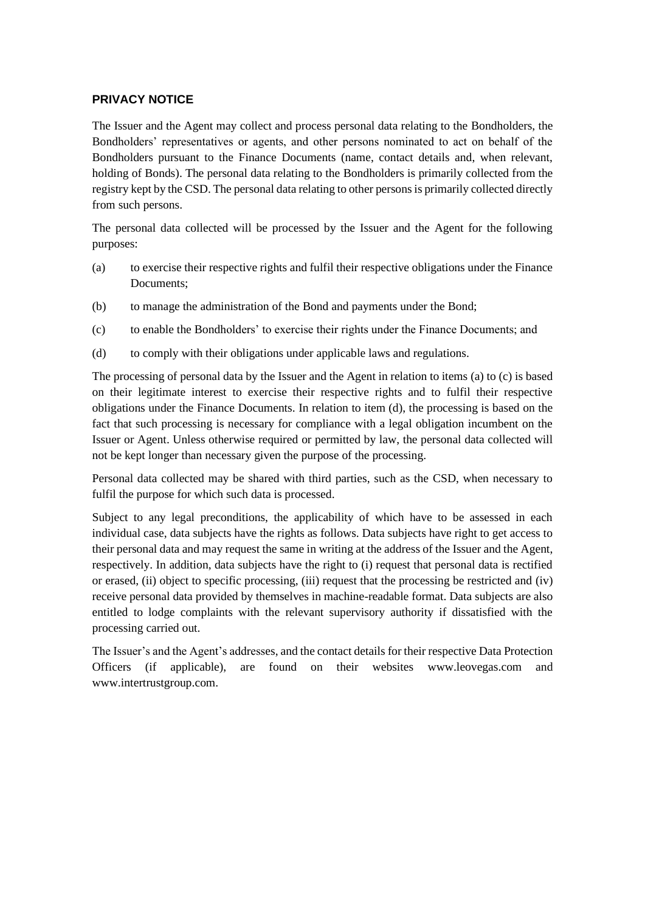## **PRIVACY NOTICE**

The Issuer and the Agent may collect and process personal data relating to the Bondholders, the Bondholders' representatives or agents, and other persons nominated to act on behalf of the Bondholders pursuant to the Finance Documents (name, contact details and, when relevant, holding of Bonds). The personal data relating to the Bondholders is primarily collected from the registry kept by the CSD. The personal data relating to other persons is primarily collected directly from such persons.

The personal data collected will be processed by the Issuer and the Agent for the following purposes:

- <span id="page-1-0"></span>(a) to exercise their respective rights and fulfil their respective obligations under the Finance Documents;
- (b) to manage the administration of the Bond and payments under the Bond;
- <span id="page-1-1"></span>(c) to enable the Bondholders' to exercise their rights under the Finance Documents; and
- <span id="page-1-2"></span>(d) to comply with their obligations under applicable laws and regulations.

The processing of personal data by the Issuer and the Agent in relation to items [\(a\)](#page-1-0) to [\(c\)](#page-1-1) is based on their legitimate interest to exercise their respective rights and to fulfil their respective obligations under the Finance Documents. In relation to item [\(d\),](#page-1-2) the processing is based on the fact that such processing is necessary for compliance with a legal obligation incumbent on the Issuer or Agent. Unless otherwise required or permitted by law, the personal data collected will not be kept longer than necessary given the purpose of the processing.

Personal data collected may be shared with third parties, such as the CSD, when necessary to fulfil the purpose for which such data is processed.

Subject to any legal preconditions, the applicability of which have to be assessed in each individual case, data subjects have the rights as follows. Data subjects have right to get access to their personal data and may request the same in writing at the address of the Issuer and the Agent, respectively. In addition, data subjects have the right to (i) request that personal data is rectified or erased, (ii) object to specific processing, (iii) request that the processing be restricted and (iv) receive personal data provided by themselves in machine-readable format. Data subjects are also entitled to lodge complaints with the relevant supervisory authority if dissatisfied with the processing carried out.

The Issuer's and the Agent's addresses, and the contact details for their respective Data Protection Officers (if applicable), are found on their websites www.leovegas.com and [www.intertrustgroup.com.](about:blank)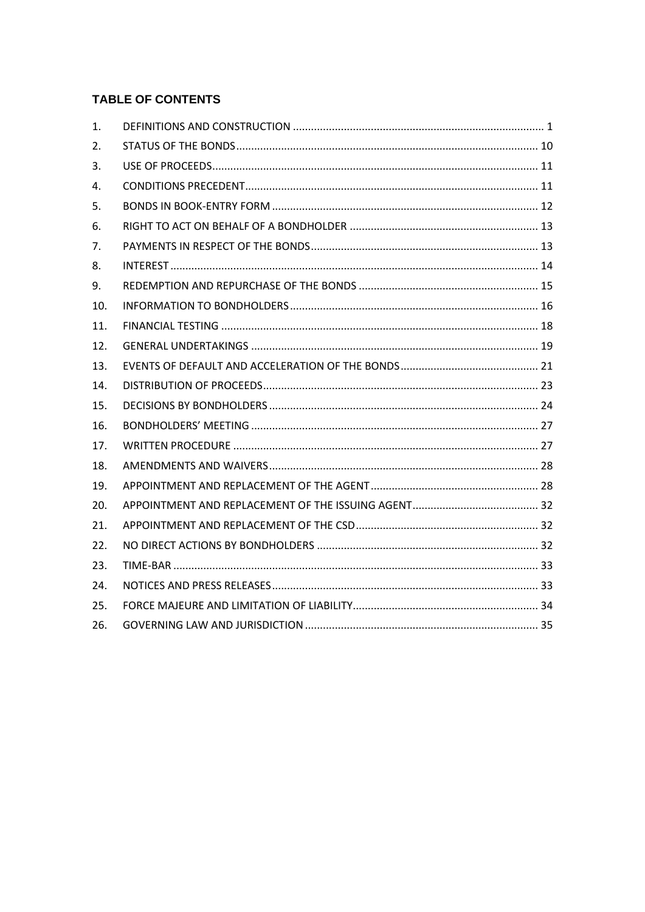## **TABLE OF CONTENTS**

| 1.  |  |
|-----|--|
| 2.  |  |
| 3.  |  |
| 4.  |  |
| 5.  |  |
| 6.  |  |
| 7.  |  |
| 8.  |  |
| 9.  |  |
| 10. |  |
| 11. |  |
| 12. |  |
| 13. |  |
| 14. |  |
| 15. |  |
| 16. |  |
| 17. |  |
| 18. |  |
| 19. |  |
| 20. |  |
| 21. |  |
| 22. |  |
| 23. |  |
| 24. |  |
| 25. |  |
| 26. |  |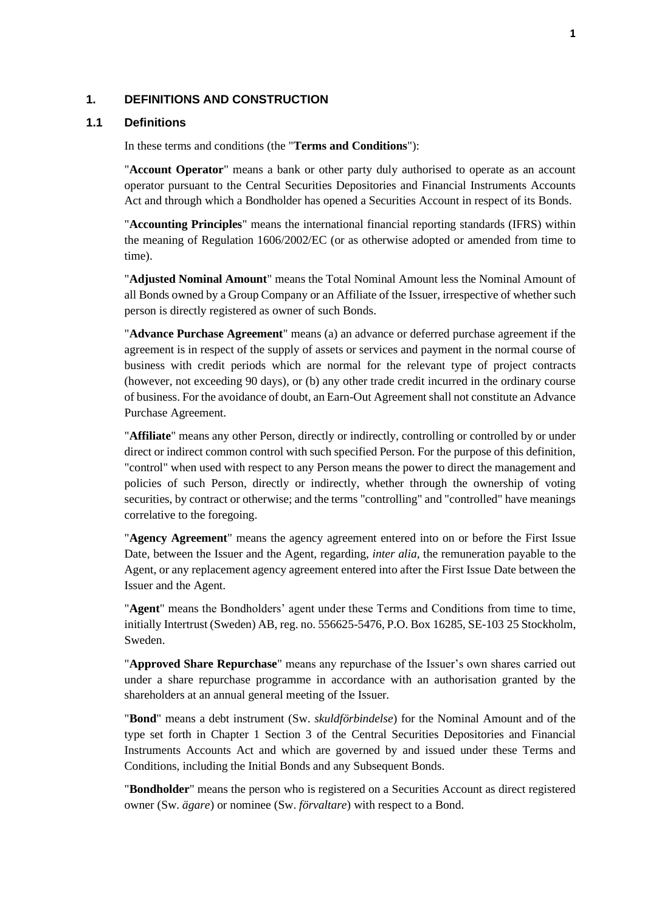#### <span id="page-3-0"></span>**1. DEFINITIONS AND CONSTRUCTION**

#### <span id="page-3-1"></span>**1.1 Definitions**

In these terms and conditions (the "**Terms and Conditions**"):

"**Account Operator**" means a bank or other party duly authorised to operate as an account operator pursuant to the Central Securities Depositories and Financial Instruments Accounts Act and through which a Bondholder has opened a Securities Account in respect of its Bonds.

"**Accounting Principles**" means the international financial reporting standards (IFRS) within the meaning of Regulation 1606/2002/EC (or as otherwise adopted or amended from time to time).

"**Adjusted Nominal Amount**" means the Total Nominal Amount less the Nominal Amount of all Bonds owned by a Group Company or an Affiliate of the Issuer, irrespective of whether such person is directly registered as owner of such Bonds.

"**Advance Purchase Agreement**" means (a) an advance or deferred purchase agreement if the agreement is in respect of the supply of assets or services and payment in the normal course of business with credit periods which are normal for the relevant type of project contracts (however, not exceeding 90 days), or (b) any other trade credit incurred in the ordinary course of business. For the avoidance of doubt, an Earn-Out Agreement shall not constitute an Advance Purchase Agreement.

"**Affiliate**" means any other Person, directly or indirectly, controlling or controlled by or under direct or indirect common control with such specified Person. For the purpose of this definition, "control" when used with respect to any Person means the power to direct the management and policies of such Person, directly or indirectly, whether through the ownership of voting securities, by contract or otherwise; and the terms "controlling" and "controlled" have meanings correlative to the foregoing.

"**Agency Agreement**" means the agency agreement entered into on or before the First Issue Date, between the Issuer and the Agent, regarding, *inter alia*, the remuneration payable to the Agent, or any replacement agency agreement entered into after the First Issue Date between the Issuer and the Agent.

"**Agent**" means the Bondholders' agent under these Terms and Conditions from time to time, initially Intertrust (Sweden) AB, reg. no. 556625-5476, P.O. Box 16285, SE-103 25 Stockholm, Sweden.

"**Approved Share Repurchase**" means any repurchase of the Issuer's own shares carried out under a share repurchase programme in accordance with an authorisation granted by the shareholders at an annual general meeting of the Issuer.

"**Bond**" means a debt instrument (Sw. *skuldförbindelse*) for the Nominal Amount and of the type set forth in Chapter 1 Section 3 of the Central Securities Depositories and Financial Instruments Accounts Act and which are governed by and issued under these Terms and Conditions, including the Initial Bonds and any Subsequent Bonds.

"**Bondholder**" means the person who is registered on a Securities Account as direct registered owner (Sw. *ägare*) or nominee (Sw. *förvaltare*) with respect to a Bond.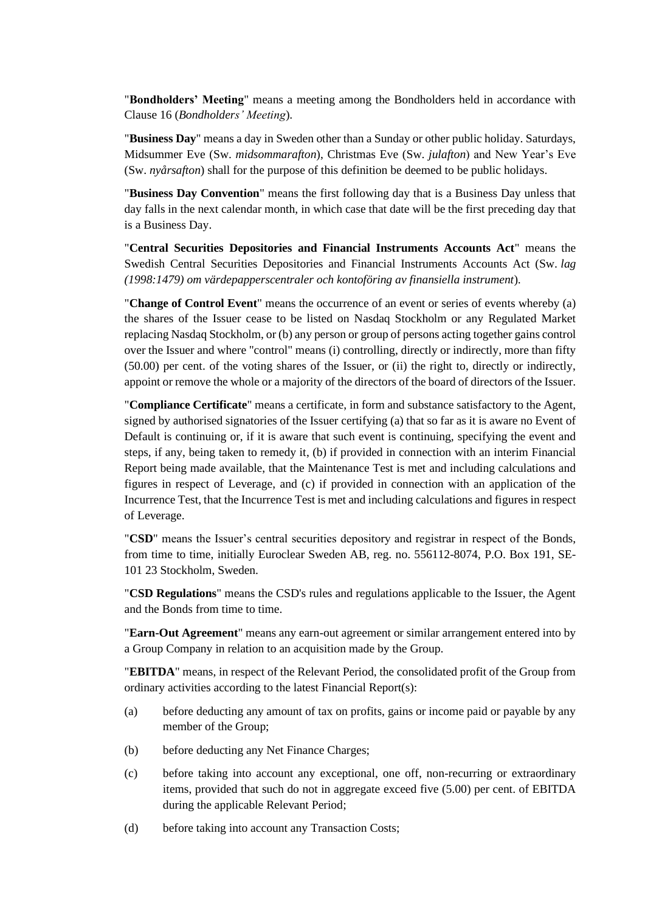"**Bondholders' Meeting**" means a meeting among the Bondholders held in accordance with Clause [16](#page-29-0) (*[Bondholders' Meeting](#page-29-0)*).

"**Business Day**" means a day in Sweden other than a Sunday or other public holiday. Saturdays, Midsummer Eve (Sw. *midsommarafton*), Christmas Eve (Sw. *julafton*) and New Year's Eve (Sw. *nyårsafton*) shall for the purpose of this definition be deemed to be public holidays.

"**Business Day Convention**" means the first following day that is a Business Day unless that day falls in the next calendar month, in which case that date will be the first preceding day that is a Business Day.

"**Central Securities Depositories and Financial Instruments Accounts Act**" means the Swedish Central Securities Depositories and Financial Instruments Accounts Act (Sw. *lag (1998:1479) om värdepapperscentraler och kontoföring av finansiella instrument*).

"**Change of Control Event**" means the occurrence of an event or series of events whereby (a) the shares of the Issuer cease to be listed on Nasdaq Stockholm or any Regulated Market replacing Nasdaq Stockholm, or (b) any person or group of persons acting together gains control over the Issuer and where "control" means (i) controlling, directly or indirectly, more than fifty (50.00) per cent. of the voting shares of the Issuer, or (ii) the right to, directly or indirectly, appoint or remove the whole or a majority of the directors of the board of directors of the Issuer.

"**Compliance Certificate**" means a certificate, in form and substance satisfactory to the Agent, signed by authorised signatories of the Issuer certifying (a) that so far as it is aware no Event of Default is continuing or, if it is aware that such event is continuing, specifying the event and steps, if any, being taken to remedy it, (b) if provided in connection with an interim Financial Report being made available, that the Maintenance Test is met and including calculations and figures in respect of Leverage, and (c) if provided in connection with an application of the Incurrence Test, that the Incurrence Test is met and including calculations and figures in respect of Leverage.

"**CSD**" means the Issuer's central securities depository and registrar in respect of the Bonds, from time to time, initially Euroclear Sweden AB, reg. no. 556112-8074, P.O. Box 191, SE-101 23 Stockholm, Sweden.

"**CSD Regulations**" means the CSD's rules and regulations applicable to the Issuer, the Agent and the Bonds from time to time.

"**Earn-Out Agreement**" means any earn-out agreement or similar arrangement entered into by a Group Company in relation to an acquisition made by the Group.

"**EBITDA**" means, in respect of the Relevant Period, the consolidated profit of the Group from ordinary activities according to the latest Financial Report(s):

- (a) before deducting any amount of tax on profits, gains or income paid or payable by any member of the Group;
- (b) before deducting any Net Finance Charges;
- (c) before taking into account any exceptional, one off, non-recurring or extraordinary items, provided that such do not in aggregate exceed five (5.00) per cent. of EBITDA during the applicable Relevant Period;
- (d) before taking into account any Transaction Costs;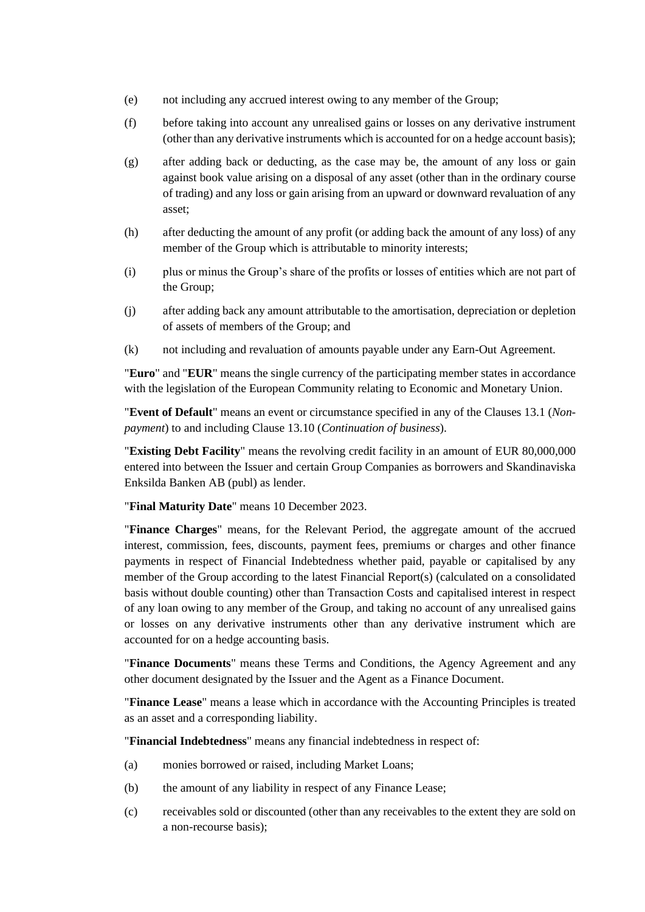- (e) not including any accrued interest owing to any member of the Group;
- (f) before taking into account any unrealised gains or losses on any derivative instrument (other than any derivative instruments which is accounted for on a hedge account basis);
- (g) after adding back or deducting, as the case may be, the amount of any loss or gain against book value arising on a disposal of any asset (other than in the ordinary course of trading) and any loss or gain arising from an upward or downward revaluation of any asset;
- (h) after deducting the amount of any profit (or adding back the amount of any loss) of any member of the Group which is attributable to minority interests;
- (i) plus or minus the Group's share of the profits or losses of entities which are not part of the Group;
- (j) after adding back any amount attributable to the amortisation, depreciation or depletion of assets of members of the Group; and
- (k) not including and revaluation of amounts payable under any Earn-Out Agreement.

"**Euro**" and "**EUR**" means the single currency of the participating member states in accordance with the legislation of the European Community relating to Economic and Monetary Union.

"**Event of Default**" means an event or circumstance specified in any of the Clauses [13.1](#page-23-1) (*[Non](#page-23-1)[payment](#page-23-1)*) to and including Clause [13.10](#page-24-0) (*[Continuation of business](#page-24-0)*).

"**Existing Debt Facility**" means the revolving credit facility in an amount of EUR 80,000,000 entered into between the Issuer and certain Group Companies as borrowers and Skandinaviska Enksilda Banken AB (publ) as lender.

"**Final Maturity Date**" means 10 December 2023.

"**Finance Charges**" means, for the Relevant Period, the aggregate amount of the accrued interest, commission, fees, discounts, payment fees, premiums or charges and other finance payments in respect of Financial Indebtedness whether paid, payable or capitalised by any member of the Group according to the latest Financial Report(s) (calculated on a consolidated basis without double counting) other than Transaction Costs and capitalised interest in respect of any loan owing to any member of the Group, and taking no account of any unrealised gains or losses on any derivative instruments other than any derivative instrument which are accounted for on a hedge accounting basis.

"**Finance Documents**" means these Terms and Conditions, the Agency Agreement and any other document designated by the Issuer and the Agent as a Finance Document.

"**Finance Lease**" means a lease which in accordance with the Accounting Principles is treated as an asset and a corresponding liability.

"**Financial Indebtedness**" means any financial indebtedness in respect of:

- <span id="page-5-0"></span>(a) monies borrowed or raised, including Market Loans;
- (b) the amount of any liability in respect of any Finance Lease;
- (c) receivables sold or discounted (other than any receivables to the extent they are sold on a non-recourse basis);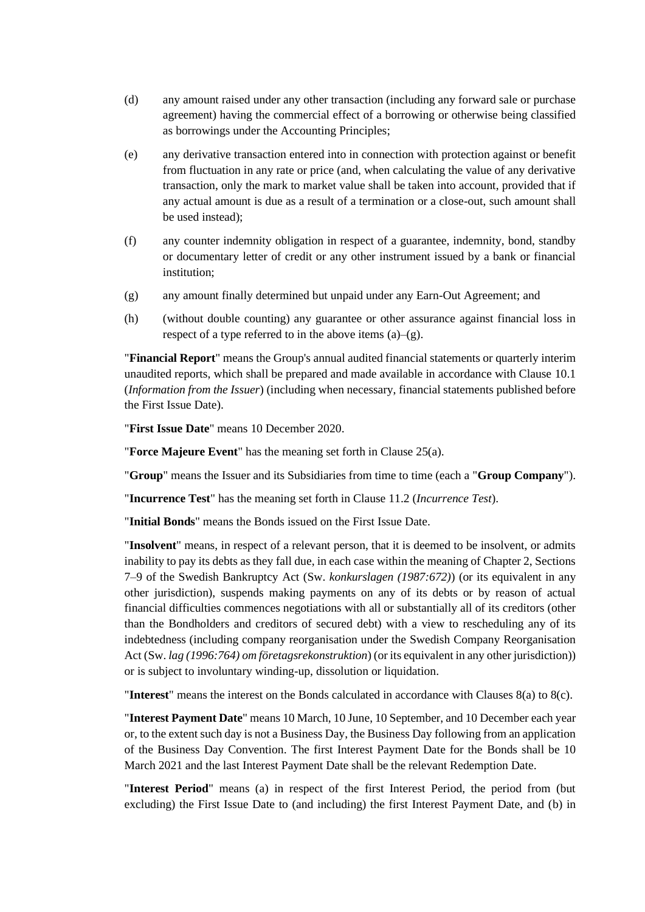- (d) any amount raised under any other transaction (including any forward sale or purchase agreement) having the commercial effect of a borrowing or otherwise being classified as borrowings under the Accounting Principles;
- (e) any derivative transaction entered into in connection with protection against or benefit from fluctuation in any rate or price (and, when calculating the value of any derivative transaction, only the mark to market value shall be taken into account, provided that if any actual amount is due as a result of a termination or a close-out, such amount shall be used instead);
- (f) any counter indemnity obligation in respect of a guarantee, indemnity, bond, standby or documentary letter of credit or any other instrument issued by a bank or financial institution;
- <span id="page-6-0"></span>(g) any amount finally determined but unpaid under any Earn-Out Agreement; and
- (h) (without double counting) any guarantee or other assurance against financial loss in respect of a type referred to in the above items  $(a)$ – $(g)$ .

"**Financial Report**" means the Group's annual audited financial statements or quarterly interim unaudited reports, which shall be prepared and made available in accordance with Clause [10.1](#page-18-1) (*[Information from the Issuer](#page-18-1)*) (including when necessary, financial statements published before the First Issue Date).

"**First Issue Date**" means 10 December 2020.

"**Force Majeure Event**" has the meaning set forth in Clause [25\(a\).](#page-36-1)

"**Group**" means the Issuer and its Subsidiaries from time to time (each a "**Group Company**").

"**Incurrence Test**" has the meaning set forth in Clause [11.2](#page-20-1) (*Incurrence Test*).

"**Initial Bonds**" means the Bonds issued on the First Issue Date.

"**Insolvent**" means, in respect of a relevant person, that it is deemed to be insolvent, or admits inability to pay its debts as they fall due, in each case within the meaning of Chapter 2, Sections 7–9 of the Swedish Bankruptcy Act (Sw. *konkurslagen (1987:672)*) (or its equivalent in any other jurisdiction), suspends making payments on any of its debts or by reason of actual financial difficulties commences negotiations with all or substantially all of its creditors (other than the Bondholders and creditors of secured debt) with a view to rescheduling any of its indebtedness (including company reorganisation under the Swedish Company Reorganisation Act (Sw. *lag (1996:764) om företagsrekonstruktion*) (or its equivalent in any other jurisdiction)) or is subject to involuntary winding-up, dissolution or liquidation.

"**Interest**" means the interest on the Bonds calculated in accordance with Clauses [8\(a\)](#page-16-1) to [8\(c\).](#page-16-2)

"**Interest Payment Date**" means 10 March, 10 June, 10 September, and 10 December each year or, to the extent such day is not a Business Day, the Business Day following from an application of the Business Day Convention. The first Interest Payment Date for the Bonds shall be 10 March 2021 and the last Interest Payment Date shall be the relevant Redemption Date.

"**Interest Period**" means (a) in respect of the first Interest Period, the period from (but excluding) the First Issue Date to (and including) the first Interest Payment Date, and (b) in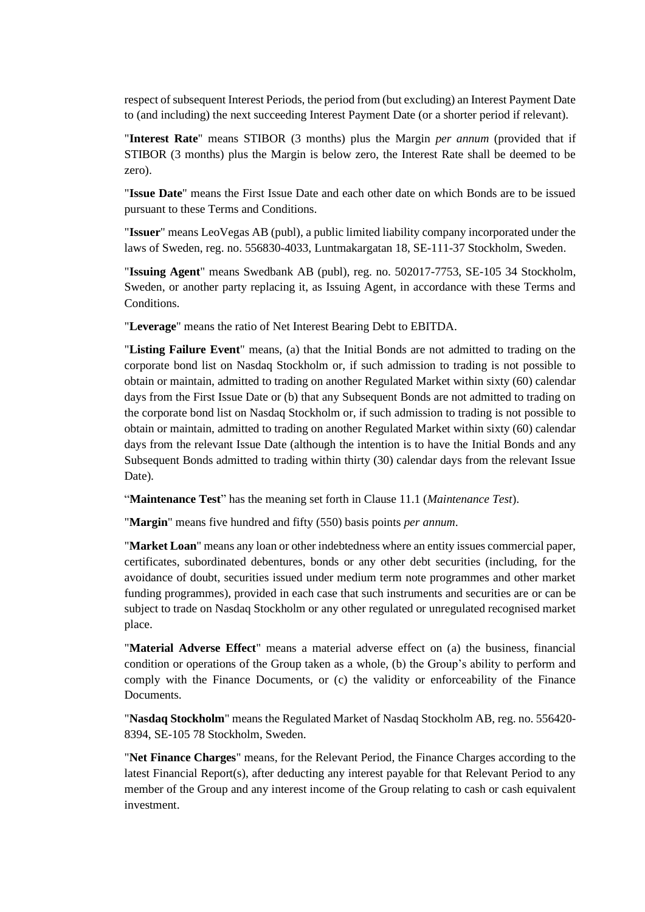respect of subsequent Interest Periods, the period from (but excluding) an Interest Payment Date to (and including) the next succeeding Interest Payment Date (or a shorter period if relevant).

"**Interest Rate**" means STIBOR (3 months) plus the Margin *per annum* (provided that if STIBOR (3 months) plus the Margin is below zero, the Interest Rate shall be deemed to be zero).

"**Issue Date**" means the First Issue Date and each other date on which Bonds are to be issued pursuant to these Terms and Conditions.

"**Issuer**" means LeoVegas AB (publ), a public limited liability company incorporated under the laws of Sweden, reg. no. 556830-4033, Luntmakargatan 18, SE-111-37 Stockholm, Sweden.

"**Issuing Agent**" means Swedbank AB (publ), reg. no. 502017-7753, SE-105 34 Stockholm, Sweden, or another party replacing it, as Issuing Agent, in accordance with these Terms and Conditions.

"**Leverage**" means the ratio of Net Interest Bearing Debt to EBITDA.

"**Listing Failure Event**" means, (a) that the Initial Bonds are not admitted to trading on the corporate bond list on Nasdaq Stockholm or, if such admission to trading is not possible to obtain or maintain, admitted to trading on another Regulated Market within sixty (60) calendar days from the First Issue Date or (b) that any Subsequent Bonds are not admitted to trading on the corporate bond list on Nasdaq Stockholm or, if such admission to trading is not possible to obtain or maintain, admitted to trading on another Regulated Market within sixty (60) calendar days from the relevant Issue Date (although the intention is to have the Initial Bonds and any Subsequent Bonds admitted to trading within thirty (30) calendar days from the relevant Issue Date).

"**Maintenance Test**" has the meaning set forth in Clause [11.1](#page-20-2) (*Maintenance Test*).

"**Margin**" means five hundred and fifty (550) basis points *per annum*.

"**Market Loan**" means any loan or other indebtedness where an entity issues commercial paper, certificates, subordinated debentures, bonds or any other debt securities (including, for the avoidance of doubt, securities issued under medium term note programmes and other market funding programmes), provided in each case that such instruments and securities are or can be subject to trade on Nasdaq Stockholm or any other regulated or unregulated recognised market place.

"**Material Adverse Effect**" means a material adverse effect on (a) the business, financial condition or operations of the Group taken as a whole, (b) the Group's ability to perform and comply with the Finance Documents, or (c) the validity or enforceability of the Finance Documents.

"**Nasdaq Stockholm**" means the Regulated Market of Nasdaq Stockholm AB, reg. no. 556420- 8394, SE-105 78 Stockholm, Sweden.

"**Net Finance Charges**" means, for the Relevant Period, the Finance Charges according to the latest Financial Report(s), after deducting any interest payable for that Relevant Period to any member of the Group and any interest income of the Group relating to cash or cash equivalent investment.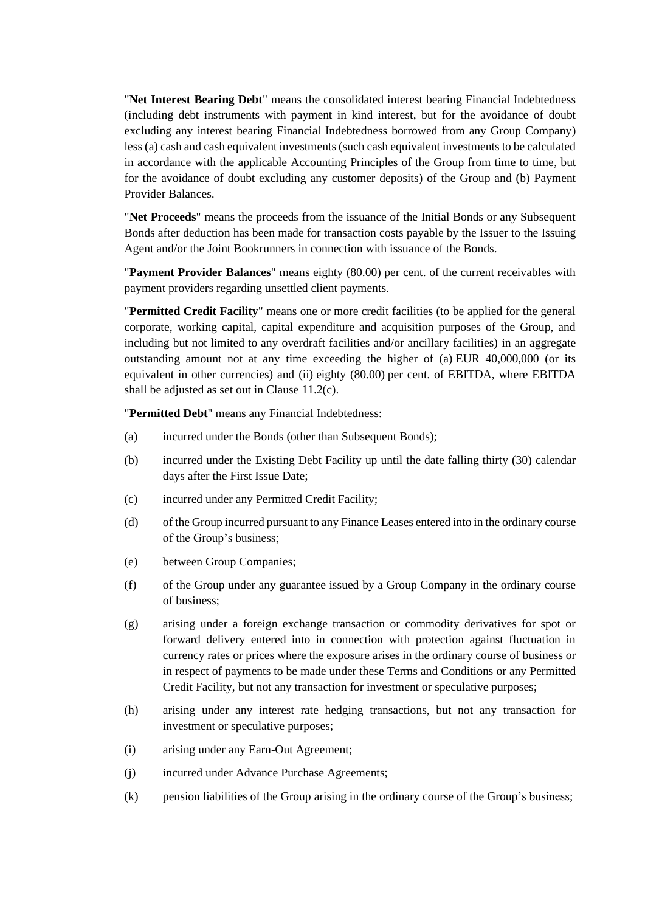"**Net Interest Bearing Debt**" means the consolidated interest bearing Financial Indebtedness (including debt instruments with payment in kind interest, but for the avoidance of doubt excluding any interest bearing Financial Indebtedness borrowed from any Group Company) less (a) cash and cash equivalent investments (such cash equivalent investments to be calculated in accordance with the applicable Accounting Principles of the Group from time to time, but for the avoidance of doubt excluding any customer deposits) of the Group and (b) Payment Provider Balances.

"**Net Proceeds**" means the proceeds from the issuance of the Initial Bonds or any Subsequent Bonds after deduction has been made for transaction costs payable by the Issuer to the Issuing Agent and/or the Joint Bookrunners in connection with issuance of the Bonds.

"**Payment Provider Balances**" means eighty (80.00) per cent. of the current receivables with payment providers regarding unsettled client payments.

"**Permitted Credit Facility**" means one or more credit facilities (to be applied for the general corporate, working capital, capital expenditure and acquisition purposes of the Group, and including but not limited to any overdraft facilities and/or ancillary facilities) in an aggregate outstanding amount not at any time exceeding the higher of (a) EUR 40,000,000 (or its equivalent in other currencies) and (ii) eighty (80.00) per cent. of EBITDA, where EBITDA shall be adjusted as set out in Clause [11.2](#page-20-1)[\(c\).](#page-21-1)

"**Permitted Debt**" means any Financial Indebtedness:

- <span id="page-8-0"></span>(a) incurred under the Bonds (other than Subsequent Bonds);
- (b) incurred under the Existing Debt Facility up until the date falling thirty (30) calendar days after the First Issue Date;
- (c) incurred under any Permitted Credit Facility;
- <span id="page-8-1"></span>(d) of the Group incurred pursuant to any Finance Leases entered into in the ordinary course of the Group's business;
- (e) between Group Companies;
- (f) of the Group under any guarantee issued by a Group Company in the ordinary course of business;
- <span id="page-8-2"></span>(g) arising under a foreign exchange transaction or commodity derivatives for spot or forward delivery entered into in connection with protection against fluctuation in currency rates or prices where the exposure arises in the ordinary course of business or in respect of payments to be made under these Terms and Conditions or any Permitted Credit Facility, but not any transaction for investment or speculative purposes;
- <span id="page-8-3"></span>(h) arising under any interest rate hedging transactions, but not any transaction for investment or speculative purposes;
- (i) arising under any Earn-Out Agreement;
- (j) incurred under Advance Purchase Agreements;
- (k) pension liabilities of the Group arising in the ordinary course of the Group's business;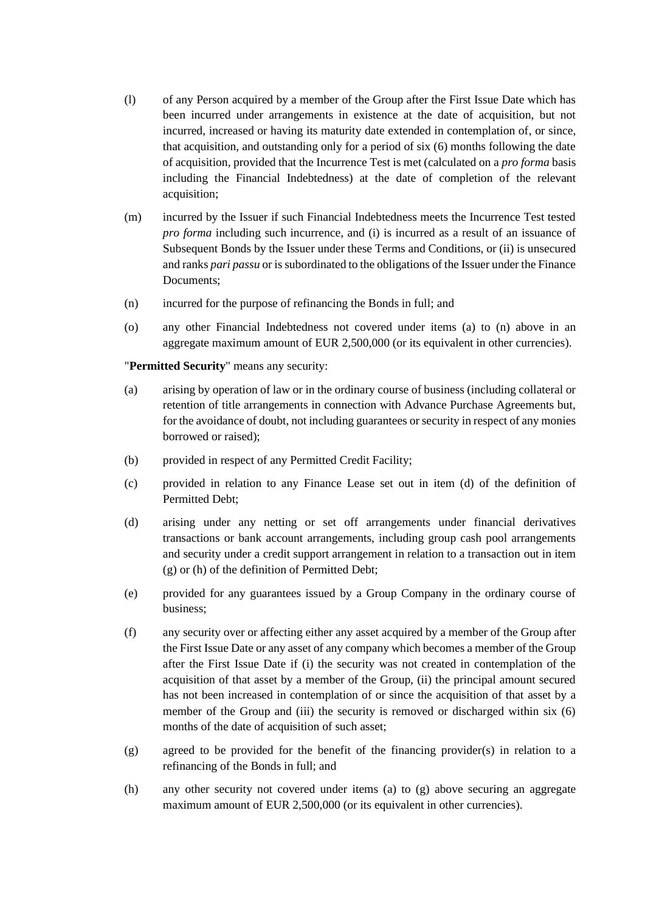- (l) of any Person acquired by a member of the Group after the First Issue Date which has been incurred under arrangements in existence at the date of acquisition, but not incurred, increased or having its maturity date extended in contemplation of, or since, that acquisition, and outstanding only for a period of six (6) months following the date of acquisition, provided that the Incurrence Test is met (calculated on a *pro forma* basis including the Financial Indebtedness) at the date of completion of the relevant acquisition;
- (m) incurred by the Issuer if such Financial Indebtedness meets the Incurrence Test tested *pro forma* including such incurrence, and (i) is incurred as a result of an issuance of Subsequent Bonds by the Issuer under these Terms and Conditions, or (ii) is unsecured and ranks *pari passu* or is subordinated to the obligations of the Issuer under the Finance Documents;
- <span id="page-9-0"></span>(n) incurred for the purpose of refinancing the Bonds in full; and
- (o) any other Financial Indebtedness not covered under items [\(a\)](#page-8-0) to [\(n\)](#page-9-0) above in an aggregate maximum amount of EUR 2,500,000 (or its equivalent in other currencies).

"**Permitted Security**" means any security:

- <span id="page-9-1"></span>(a) arising by operation of law or in the ordinary course of business (including collateral or retention of title arrangements in connection with Advance Purchase Agreements but, for the avoidance of doubt, not including guarantees or security in respect of any monies borrowed or raised);
- (b) provided in respect of any Permitted Credit Facility;
- (c) provided in relation to any Finance Lease set out in item [\(d\)](#page-8-1) of the definition of Permitted Debt;
- (d) arising under any netting or set off arrangements under financial derivatives transactions or bank account arrangements, including group cash pool arrangements and security under a credit support arrangement in relation to a transaction out in item [\(g\)](#page-8-2) or [\(h\)](#page-8-3) of the definition of Permitted Debt;
- (e) provided for any guarantees issued by a Group Company in the ordinary course of business;
- (f) any security over or affecting either any asset acquired by a member of the Group after the First Issue Date or any asset of any company which becomes a member of the Group after the First Issue Date if (i) the security was not created in contemplation of the acquisition of that asset by a member of the Group, (ii) the principal amount secured has not been increased in contemplation of or since the acquisition of that asset by a member of the Group and (iii) the security is removed or discharged within six (6) months of the date of acquisition of such asset;
- <span id="page-9-2"></span>(g) agreed to be provided for the benefit of the financing provider(s) in relation to a refinancing of the Bonds in full; and
- (h) any other security not covered under items [\(a\)](#page-9-1) to [\(g\)](#page-9-2) above securing an aggregate maximum amount of EUR 2,500,000 (or its equivalent in other currencies).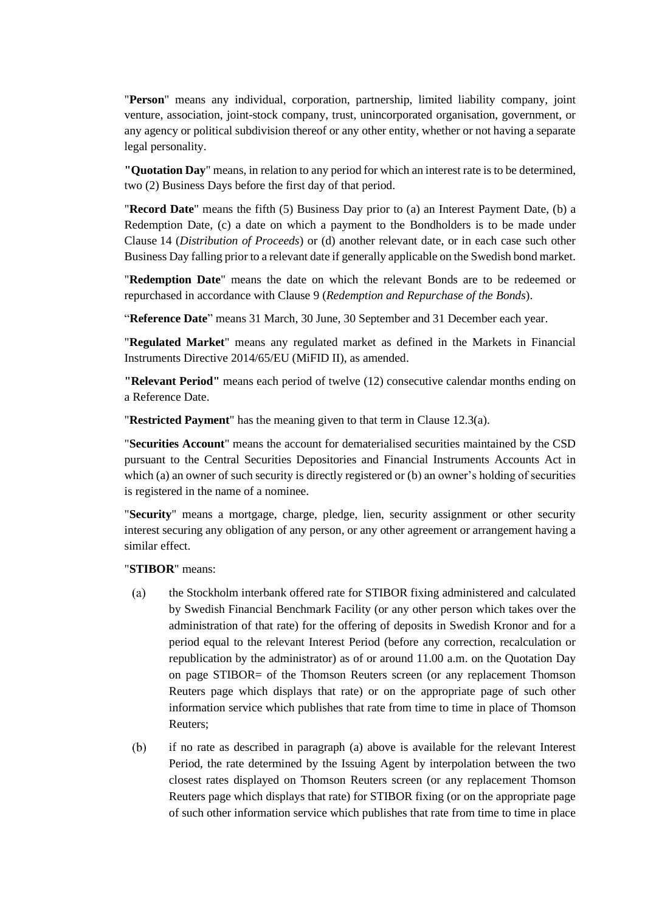"**Person**" means any individual, corporation, partnership, limited liability company, joint venture, association, joint-stock company, trust, unincorporated organisation, government, or any agency or political subdivision thereof or any other entity, whether or not having a separate legal personality.

**"Quotation Day**" means, in relation to any period for which an interest rate is to be determined, two (2) Business Days before the first day of that period.

"**Record Date**" means the fifth (5) Business Day prior to (a) an Interest Payment Date, (b) a Redemption Date, (c) a date on which a payment to the Bondholders is to be made under Clause [14](#page-25-0) (*[Distribution of Proceeds](#page-25-0)*) or (d) another relevant date, or in each case such other Business Day falling prior to a relevant date if generally applicable on the Swedish bond market.

"**Redemption Date**" means the date on which the relevant Bonds are to be redeemed or repurchased in accordance with Clause [9](#page-17-0) (*Redemption [and Repurchase of the Bonds](#page-17-0)*).

"**Reference Date**" means 31 March, 30 June, 30 September and 31 December each year.

"**Regulated Market**" means any regulated market as defined in the Markets in Financial Instruments Directive 2014/65/EU (MiFID II), as amended.

**"Relevant Period"** means each period of twelve (12) consecutive calendar months ending on a Reference Date.

"**Restricted Payment**" has the meaning given to that term in Clause [12.3\(a\).](#page-21-2)

"**Securities Account**" means the account for dematerialised securities maintained by the CSD pursuant to the Central Securities Depositories and Financial Instruments Accounts Act in which (a) an owner of such security is directly registered or (b) an owner's holding of securities is registered in the name of a nominee.

"**Security**" means a mortgage, charge, pledge, lien, security assignment or other security interest securing any obligation of any person, or any other agreement or arrangement having a similar effect.

<span id="page-10-0"></span>"**STIBOR**" means:

- the Stockholm interbank offered rate for STIBOR fixing administered and calculated  $(a)$ by Swedish Financial Benchmark Facility (or any other person which takes over the administration of that rate) for the offering of deposits in Swedish Kronor and for a period equal to the relevant Interest Period (before any correction, recalculation or republication by the administrator) as of or around 11.00 a.m. on the Quotation Day on page STIBOR= of the Thomson Reuters screen (or any replacement Thomson Reuters page which displays that rate) or on the appropriate page of such other information service which publishes that rate from time to time in place of Thomson Reuters;
- <span id="page-10-1"></span> $(b)$ if no rate as described in paragraph [\(a\)](#page-10-0) above is available for the relevant Interest Period, the rate determined by the Issuing Agent by interpolation between the two closest rates displayed on Thomson Reuters screen (or any replacement Thomson Reuters page which displays that rate) for STIBOR fixing (or on the appropriate page of such other information service which publishes that rate from time to time in place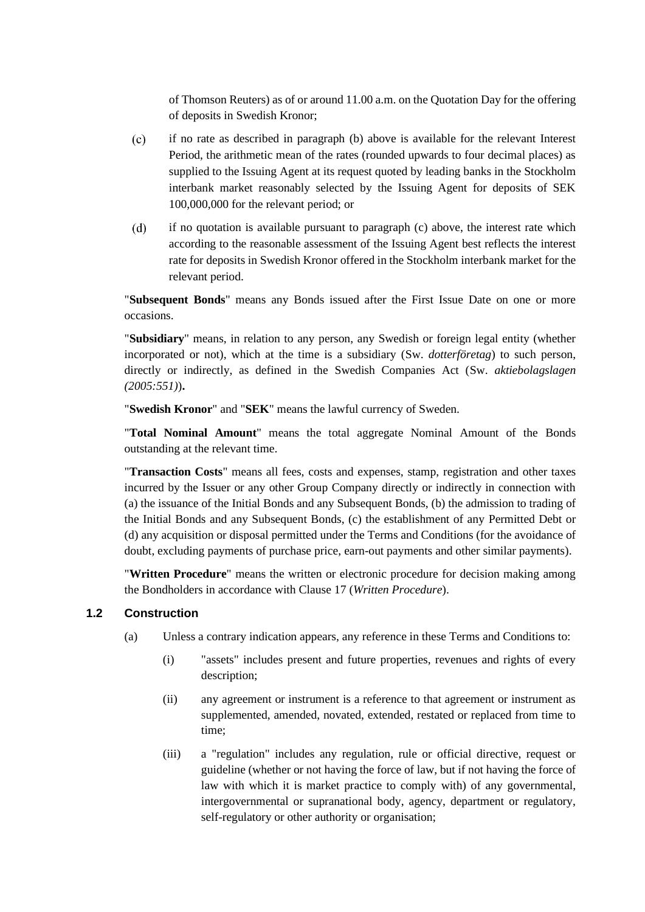of Thomson Reuters) as of or around 11.00 a.m. on the Quotation Day for the offering of deposits in Swedish Kronor;

- <span id="page-11-0"></span> $(c)$ if no rate as described in paragraph [\(b\)](#page-10-1) above is available for the relevant Interest Period, the arithmetic mean of the rates (rounded upwards to four decimal places) as supplied to the Issuing Agent at its request quoted by leading banks in the Stockholm interbank market reasonably selected by the Issuing Agent for deposits of SEK 100,000,000 for the relevant period; or
- $(d)$ if no quotation is available pursuant to paragraph [\(c\)](#page-11-0) above, the interest rate which according to the reasonable assessment of the Issuing Agent best reflects the interest rate for deposits in Swedish Kronor offered in the Stockholm interbank market for the relevant period.

"**Subsequent Bonds**" means any Bonds issued after the First Issue Date on one or more occasions.

"**Subsidiary**" means, in relation to any person, any Swedish or foreign legal entity (whether incorporated or not), which at the time is a subsidiary (Sw. *dotterföretag*) to such person, directly or indirectly, as defined in the Swedish Companies Act (Sw. *aktiebolagslagen (2005:551)*)**.**

"**Swedish Kronor**" and "**SEK**" means the lawful currency of Sweden.

"**Total Nominal Amount**" means the total aggregate Nominal Amount of the Bonds outstanding at the relevant time.

"**Transaction Costs**" means all fees, costs and expenses, stamp, registration and other taxes incurred by the Issuer or any other Group Company directly or indirectly in connection with (a) the issuance of the Initial Bonds and any Subsequent Bonds, (b) the admission to trading of the Initial Bonds and any Subsequent Bonds, (c) the establishment of any Permitted Debt or (d) any acquisition or disposal permitted under the Terms and Conditions (for the avoidance of doubt, excluding payments of purchase price, earn-out payments and other similar payments).

"**Written Procedure**" means the written or electronic procedure for decision making among the Bondholders in accordance with Clause [17](#page-29-1) (*[Written Procedure](#page-29-1)*).

## **1.2 Construction**

- (a) Unless a contrary indication appears, any reference in these Terms and Conditions to:
	- (i) "assets" includes present and future properties, revenues and rights of every description;
	- (ii) any agreement or instrument is a reference to that agreement or instrument as supplemented, amended, novated, extended, restated or replaced from time to time;
	- (iii) a "regulation" includes any regulation, rule or official directive, request or guideline (whether or not having the force of law, but if not having the force of law with which it is market practice to comply with) of any governmental, intergovernmental or supranational body, agency, department or regulatory, self-regulatory or other authority or organisation;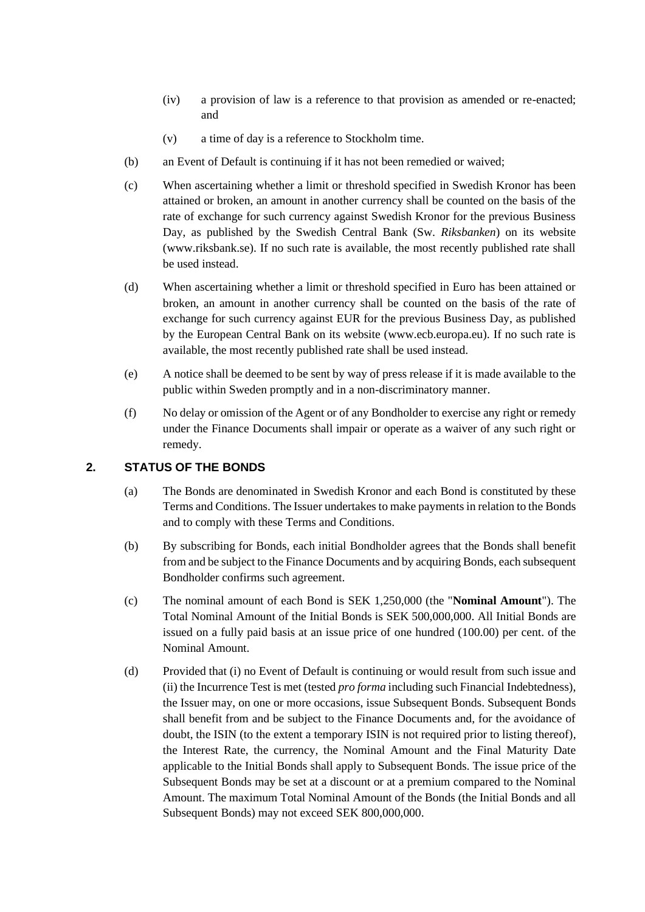- (iv) a provision of law is a reference to that provision as amended or re-enacted; and
- (v) a time of day is a reference to Stockholm time.
- (b) an Event of Default is continuing if it has not been remedied or waived;
- (c) When ascertaining whether a limit or threshold specified in Swedish Kronor has been attained or broken, an amount in another currency shall be counted on the basis of the rate of exchange for such currency against Swedish Kronor for the previous Business Day, as published by the Swedish Central Bank (Sw. *Riksbanken*) on its website (www.riksbank.se). If no such rate is available, the most recently published rate shall be used instead.
- (d) When ascertaining whether a limit or threshold specified in Euro has been attained or broken, an amount in another currency shall be counted on the basis of the rate of exchange for such currency against EUR for the previous Business Day, as published by the European Central Bank on its website (www.ecb.europa.eu). If no such rate is available, the most recently published rate shall be used instead.
- (e) A notice shall be deemed to be sent by way of press release if it is made available to the public within Sweden promptly and in a non-discriminatory manner.
- (f) No delay or omission of the Agent or of any Bondholder to exercise any right or remedy under the Finance Documents shall impair or operate as a waiver of any such right or remedy.

## <span id="page-12-1"></span><span id="page-12-0"></span>**2. STATUS OF THE BONDS**

- (a) The Bonds are denominated in Swedish Kronor and each Bond is constituted by these Terms and Conditions. The Issuer undertakes to make payments in relation to the Bonds and to comply with these Terms and Conditions.
- (b) By subscribing for Bonds, each initial Bondholder agrees that the Bonds shall benefit from and be subject to the Finance Documents and by acquiring Bonds, each subsequent Bondholder confirms such agreement.
- (c) The nominal amount of each Bond is SEK 1,250,000 (the "**Nominal Amount**"). The Total Nominal Amount of the Initial Bonds is SEK 500,000,000. All Initial Bonds are issued on a fully paid basis at an issue price of one hundred (100.00) per cent. of the Nominal Amount.
- (d) Provided that (i) no Event of Default is continuing or would result from such issue and (ii) the Incurrence Test is met (tested *pro forma* including such Financial Indebtedness), the Issuer may, on one or more occasions, issue Subsequent Bonds. Subsequent Bonds shall benefit from and be subject to the Finance Documents and, for the avoidance of doubt, the ISIN (to the extent a temporary ISIN is not required prior to listing thereof), the Interest Rate, the currency, the Nominal Amount and the Final Maturity Date applicable to the Initial Bonds shall apply to Subsequent Bonds. The issue price of the Subsequent Bonds may be set at a discount or at a premium compared to the Nominal Amount. The maximum Total Nominal Amount of the Bonds (the Initial Bonds and all Subsequent Bonds) may not exceed SEK 800,000,000.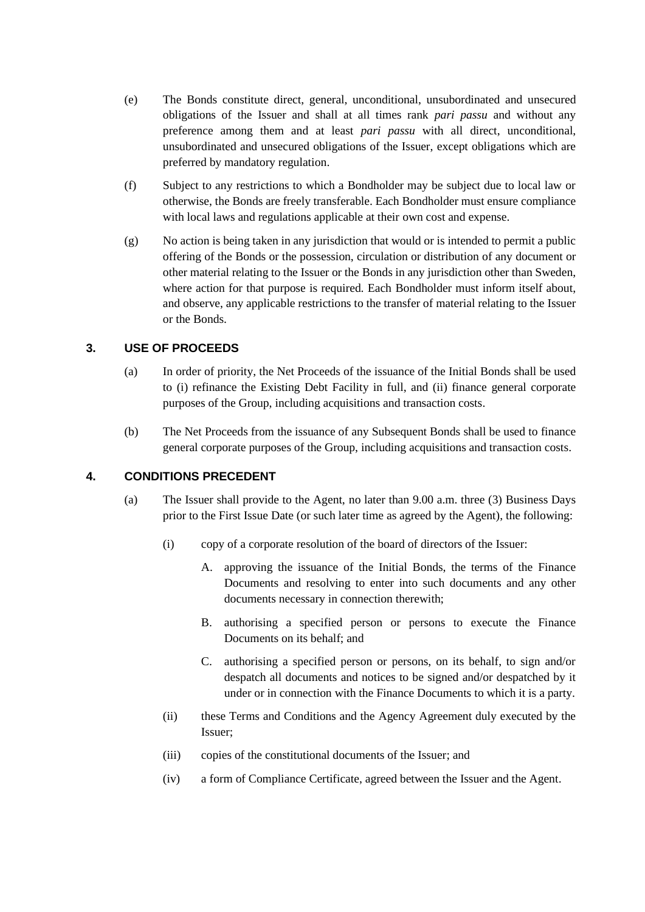- <span id="page-13-3"></span>(e) The Bonds constitute direct, general, unconditional, unsubordinated and unsecured obligations of the Issuer and shall at all times rank *pari passu* and without any preference among them and at least *pari passu* with all direct, unconditional, unsubordinated and unsecured obligations of the Issuer, except obligations which are preferred by mandatory regulation.
- (f) Subject to any restrictions to which a Bondholder may be subject due to local law or otherwise, the Bonds are freely transferable. Each Bondholder must ensure compliance with local laws and regulations applicable at their own cost and expense.
- <span id="page-13-4"></span>(g) No action is being taken in any jurisdiction that would or is intended to permit a public offering of the Bonds or the possession, circulation or distribution of any document or other material relating to the Issuer or the Bonds in any jurisdiction other than Sweden, where action for that purpose is required. Each Bondholder must inform itself about, and observe, any applicable restrictions to the transfer of material relating to the Issuer or the Bonds.

## <span id="page-13-0"></span>**3. USE OF PROCEEDS**

- (a) In order of priority, the Net Proceeds of the issuance of the Initial Bonds shall be used to (i) refinance the Existing Debt Facility in full, and (ii) finance general corporate purposes of the Group, including acquisitions and transaction costs.
- (b) The Net Proceeds from the issuance of any Subsequent Bonds shall be used to finance general corporate purposes of the Group, including acquisitions and transaction costs.

## <span id="page-13-2"></span><span id="page-13-1"></span>**4. CONDITIONS PRECEDENT**

- (a) The Issuer shall provide to the Agent, no later than 9.00 a.m. three (3) Business Days prior to the First Issue Date (or such later time as agreed by the Agent), the following:
	- (i) copy of a corporate resolution of the board of directors of the Issuer:
		- A. approving the issuance of the Initial Bonds, the terms of the Finance Documents and resolving to enter into such documents and any other documents necessary in connection therewith;
		- B. authorising a specified person or persons to execute the Finance Documents on its behalf; and
		- C. authorising a specified person or persons, on its behalf, to sign and/or despatch all documents and notices to be signed and/or despatched by it under or in connection with the Finance Documents to which it is a party.
	- (ii) these Terms and Conditions and the Agency Agreement duly executed by the Issuer;
	- (iii) copies of the constitutional documents of the Issuer; and
	- (iv) a form of Compliance Certificate, agreed between the Issuer and the Agent.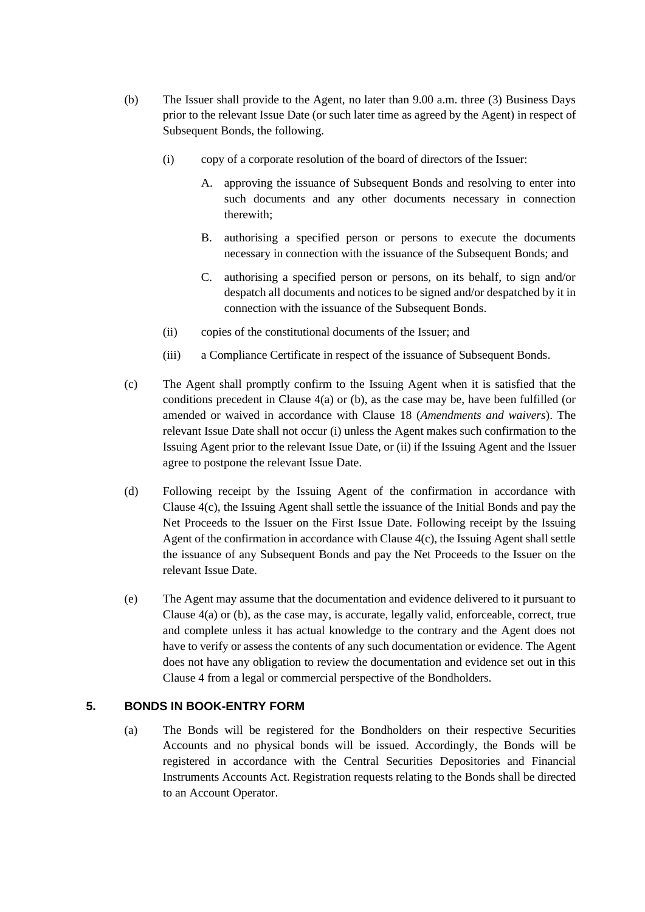- <span id="page-14-1"></span>(b) The Issuer shall provide to the Agent, no later than 9.00 a.m. three (3) Business Days prior to the relevant Issue Date (or such later time as agreed by the Agent) in respect of Subsequent Bonds, the following.
	- (i) copy of a corporate resolution of the board of directors of the Issuer:
		- A. approving the issuance of Subsequent Bonds and resolving to enter into such documents and any other documents necessary in connection therewith;
		- B. authorising a specified person or persons to execute the documents necessary in connection with the issuance of the Subsequent Bonds; and
		- C. authorising a specified person or persons, on its behalf, to sign and/or despatch all documents and notices to be signed and/or despatched by it in connection with the issuance of the Subsequent Bonds.
	- (ii) copies of the constitutional documents of the Issuer; and
	- (iii) a Compliance Certificate in respect of the issuance of Subsequent Bonds.
- <span id="page-14-2"></span>(c) The Agent shall promptly confirm to the Issuing Agent when it is satisfied that the conditions precedent in Clause  $4(a)$  $4(a)$  or [\(b\),](#page-14-1) as the case may be, have been fulfilled (or amended or waived in accordance with Clause [18](#page-30-0) (*Amendments and waivers*). The relevant Issue Date shall not occur (i) unless the Agent makes such confirmation to the Issuing Agent prior to the relevant Issue Date, or (ii) if the Issuing Agent and the Issuer agree to postpone the relevant Issue Date.
- (d) Following receipt by the Issuing Agent of the confirmation in accordance with Clause [4](#page-13-1)[\(c\),](#page-14-2) the Issuing Agent shall settle the issuance of the Initial Bonds and pay the Net Proceeds to the Issuer on the First Issue Date. Following receipt by the Issuing Agent of the confirmation in accordance with Clause 4(c), the Issuing Agent shall settle the issuance of any Subsequent Bonds and pay the Net Proceeds to the Issuer on the relevant Issue Date.
- (e) The Agent may assume that the documentation and evidence delivered to it pursuant to Clause [4](#page-13-1)[\(a\)](#page-13-2) o[r \(b\),](#page-14-1) as the case may, is accurate, legally valid, enforceable, correct, true and complete unless it has actual knowledge to the contrary and the Agent does not have to verify or assess the contents of any such documentation or evidence. The Agent does not have any obligation to review the documentation and evidence set out in this Clause [4](#page-13-1) from a legal or commercial perspective of the Bondholders.

## <span id="page-14-0"></span>**5. BONDS IN BOOK-ENTRY FORM**

(a) The Bonds will be registered for the Bondholders on their respective Securities Accounts and no physical bonds will be issued. Accordingly, the Bonds will be registered in accordance with the Central Securities Depositories and Financial Instruments Accounts Act. Registration requests relating to the Bonds shall be directed to an Account Operator.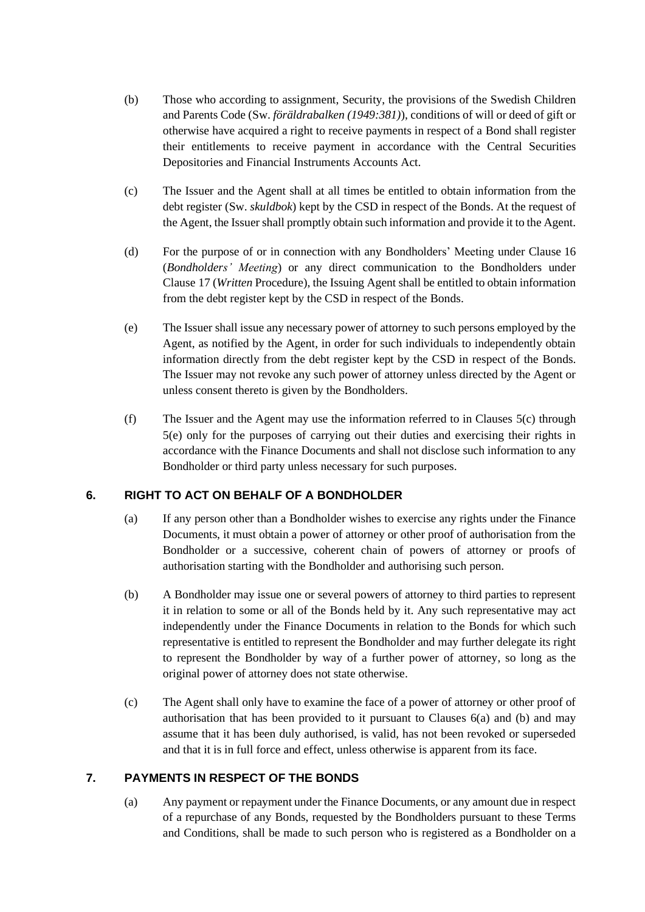- (b) Those who according to assignment, Security, the provisions of the Swedish Children and Parents Code (Sw. *föräldrabalken (1949:381)*), conditions of will or deed of gift or otherwise have acquired a right to receive payments in respect of a Bond shall register their entitlements to receive payment in accordance with the Central Securities Depositories and Financial Instruments Accounts Act.
- <span id="page-15-2"></span>(c) The Issuer and the Agent shall at all times be entitled to obtain information from the debt register (Sw. *skuldbok*) kept by the CSD in respect of the Bonds. At the request of the Agent, the Issuer shall promptly obtain such information and provide it to the Agent.
- (d) For the purpose of or in connection with any Bondholders' Meeting under Clause [16](#page-29-0) (*[Bondholders' Meeting](#page-29-0)*) or any direct communication to the Bondholders under Clause [17](#page-29-1) (*Written* [Procedure\)](#page-29-1), the Issuing Agent shall be entitled to obtain information from the debt register kept by the CSD in respect of the Bonds.
- <span id="page-15-3"></span>(e) The Issuer shall issue any necessary power of attorney to such persons employed by the Agent, as notified by the Agent, in order for such individuals to independently obtain information directly from the debt register kept by the CSD in respect of the Bonds. The Issuer may not revoke any such power of attorney unless directed by the Agent or unless consent thereto is given by the Bondholders.
- (f) The Issuer and the Agent may use the information referred to in Clauses [5](#page-14-0)[\(c\)](#page-15-2) through [5](#page-14-0)[\(e\)](#page-15-3) only for the purposes of carrying out their duties and exercising their rights in accordance with the Finance Documents and shall not disclose such information to any Bondholder or third party unless necessary for such purposes.

## <span id="page-15-4"></span><span id="page-15-0"></span>**6. RIGHT TO ACT ON BEHALF OF A BONDHOLDER**

- (a) If any person other than a Bondholder wishes to exercise any rights under the Finance Documents, it must obtain a power of attorney or other proof of authorisation from the Bondholder or a successive, coherent chain of powers of attorney or proofs of authorisation starting with the Bondholder and authorising such person.
- <span id="page-15-5"></span>(b) A Bondholder may issue one or several powers of attorney to third parties to represent it in relation to some or all of the Bonds held by it. Any such representative may act independently under the Finance Documents in relation to the Bonds for which such representative is entitled to represent the Bondholder and may further delegate its right to represent the Bondholder by way of a further power of attorney, so long as the original power of attorney does not state otherwise.
- (c) The Agent shall only have to examine the face of a power of attorney or other proof of authorisation that has been provided to it pursuant to Clauses [6](#page-15-0)[\(a\)](#page-15-4) and [\(b\)](#page-15-5) and may assume that it has been duly authorised, is valid, has not been revoked or superseded and that it is in full force and effect, unless otherwise is apparent from its face.

## <span id="page-15-1"></span>**7. PAYMENTS IN RESPECT OF THE BONDS**

(a) Any payment or repayment under the Finance Documents, or any amount due in respect of a repurchase of any Bonds, requested by the Bondholders pursuant to these Terms and Conditions, shall be made to such person who is registered as a Bondholder on a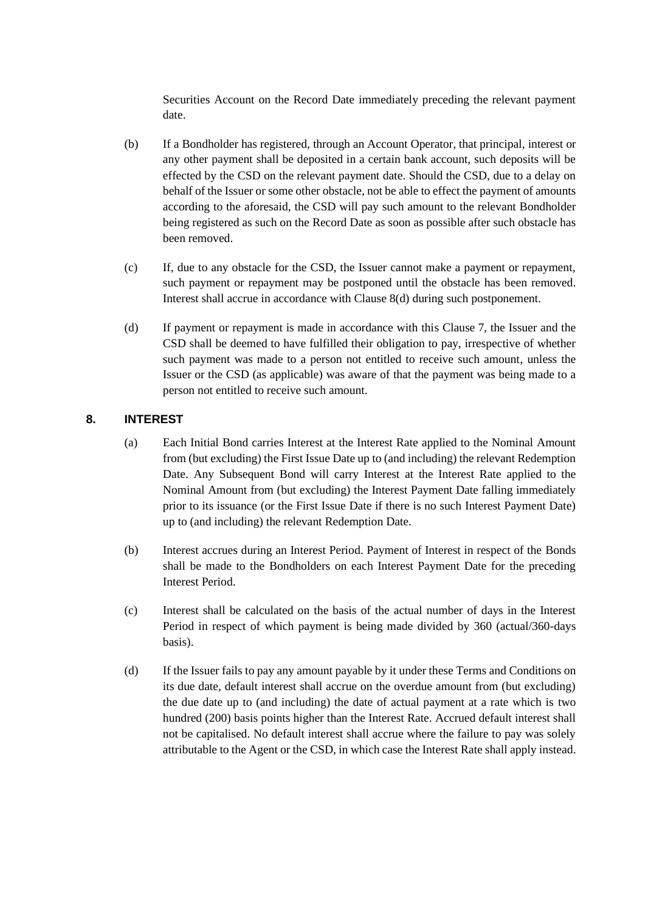Securities Account on the Record Date immediately preceding the relevant payment date.

- (b) If a Bondholder has registered, through an Account Operator, that principal, interest or any other payment shall be deposited in a certain bank account, such deposits will be effected by the CSD on the relevant payment date. Should the CSD, due to a delay on behalf of the Issuer or some other obstacle, not be able to effect the payment of amounts according to the aforesaid, the CSD will pay such amount to the relevant Bondholder being registered as such on the Record Date as soon as possible after such obstacle has been removed.
- (c) If, due to any obstacle for the CSD, the Issuer cannot make a payment or repayment, such payment or repayment may be postponed until the obstacle has been removed. Interest shall accrue in accordance with Clause [8\(d\)](#page-16-3) during such postponement.
- (d) If payment or repayment is made in accordance with this Clause [7,](#page-15-1) the Issuer and the CSD shall be deemed to have fulfilled their obligation to pay, irrespective of whether such payment was made to a person not entitled to receive such amount, unless the Issuer or the CSD (as applicable) was aware of that the payment was being made to a person not entitled to receive such amount.

## <span id="page-16-1"></span><span id="page-16-0"></span>**8. INTEREST**

- (a) Each Initial Bond carries Interest at the Interest Rate applied to the Nominal Amount from (but excluding) the First Issue Date up to (and including) the relevant Redemption Date. Any Subsequent Bond will carry Interest at the Interest Rate applied to the Nominal Amount from (but excluding) the Interest Payment Date falling immediately prior to its issuance (or the First Issue Date if there is no such Interest Payment Date) up to (and including) the relevant Redemption Date.
- (b) Interest accrues during an Interest Period. Payment of Interest in respect of the Bonds shall be made to the Bondholders on each Interest Payment Date for the preceding Interest Period.
- <span id="page-16-2"></span>(c) Interest shall be calculated on the basis of the actual number of days in the Interest Period in respect of which payment is being made divided by 360 (actual/360-days basis).
- <span id="page-16-3"></span>(d) If the Issuer fails to pay any amount payable by it under these Terms and Conditions on its due date, default interest shall accrue on the overdue amount from (but excluding) the due date up to (and including) the date of actual payment at a rate which is two hundred (200) basis points higher than the Interest Rate. Accrued default interest shall not be capitalised. No default interest shall accrue where the failure to pay was solely attributable to the Agent or the CSD, in which case the Interest Rate shall apply instead.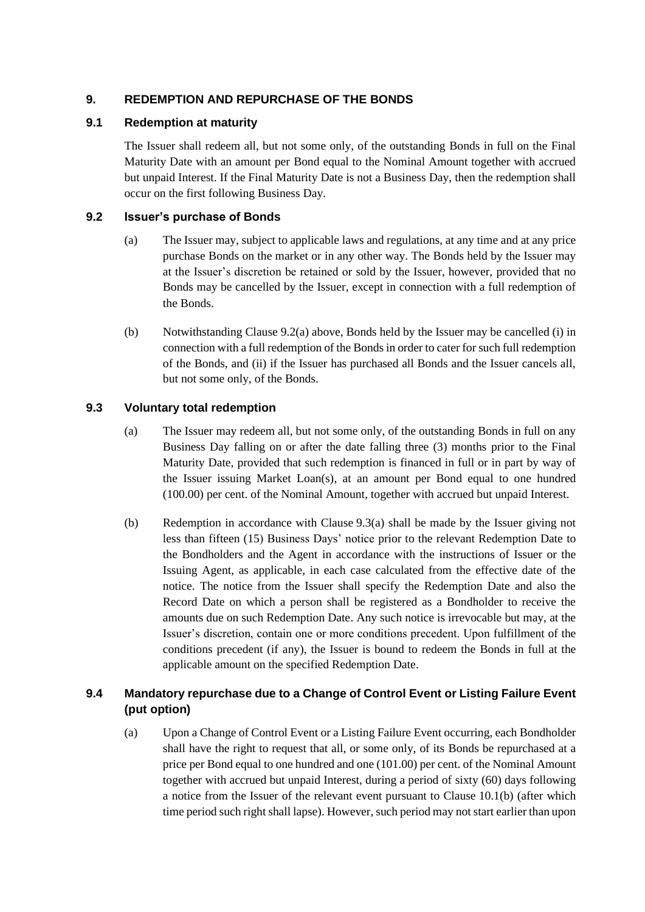## <span id="page-17-0"></span>**9. REDEMPTION AND REPURCHASE OF THE BONDS**

## **9.1 Redemption at maturity**

The Issuer shall redeem all, but not some only, of the outstanding Bonds in full on the Final Maturity Date with an amount per Bond equal to the Nominal Amount together with accrued but unpaid Interest. If the Final Maturity Date is not a Business Day, then the redemption shall occur on the first following Business Day.

## <span id="page-17-5"></span><span id="page-17-1"></span>**9.2 Issuer's purchase of Bonds**

- (a) The Issuer may, subject to applicable laws and regulations, at any time and at any price purchase Bonds on the market or in any other way. The Bonds held by the Issuer may at the Issuer's discretion be retained or sold by the Issuer, however, provided that no Bonds may be cancelled by the Issuer, except in connection with a full redemption of the Bonds.
- (b) Notwithstanding Clause [9.2\(a\)](#page-17-1) above, Bonds held by the Issuer may be cancelled (i) in connection with a full redemption of the Bonds in order to cater for such full redemption of the Bonds, and (ii) if the Issuer has purchased all Bonds and the Issuer cancels all, but not some only, of the Bonds.

## <span id="page-17-2"></span>**9.3 Voluntary total redemption**

- (a) The Issuer may redeem all, but not some only, of the outstanding Bonds in full on any Business Day falling on or after the date falling three (3) months prior to the Final Maturity Date, provided that such redemption is financed in full or in part by way of the Issuer issuing Market Loan(s), at an amount per Bond equal to one hundred (100.00) per cent. of the Nominal Amount, together with accrued but unpaid Interest.
- (b) Redemption in accordance with Clause [9.3\(a\)](#page-17-2) shall be made by the Issuer giving not less than fifteen (15) Business Days' notice prior to the relevant Redemption Date to the Bondholders and the Agent in accordance with the instructions of Issuer or the Issuing Agent, as applicable, in each case calculated from the effective date of the notice. The notice from the Issuer shall specify the Redemption Date and also the Record Date on which a person shall be registered as a Bondholder to receive the amounts due on such Redemption Date. Any such notice is irrevocable but may, at the Issuer's discretion, contain one or more conditions precedent. Upon fulfillment of the conditions precedent (if any), the Issuer is bound to redeem the Bonds in full at the applicable amount on the specified Redemption Date.

## <span id="page-17-4"></span><span id="page-17-3"></span>**9.4 Mandatory repurchase due to a Change of Control Event or Listing Failure Event (put option)**

(a) Upon a Change of Control Event or a Listing Failure Event occurring, each Bondholder shall have the right to request that all, or some only, of its Bonds be repurchased at a price per Bond equal to one hundred and one (101.00) per cent. of the Nominal Amount together with accrued but unpaid Interest, during a period of sixty (60) days following a notice from the Issuer of the relevant event pursuant to Clause [10.1\(b\)](#page-19-0) (after which time period such right shall lapse). However, such period may not start earlier than upon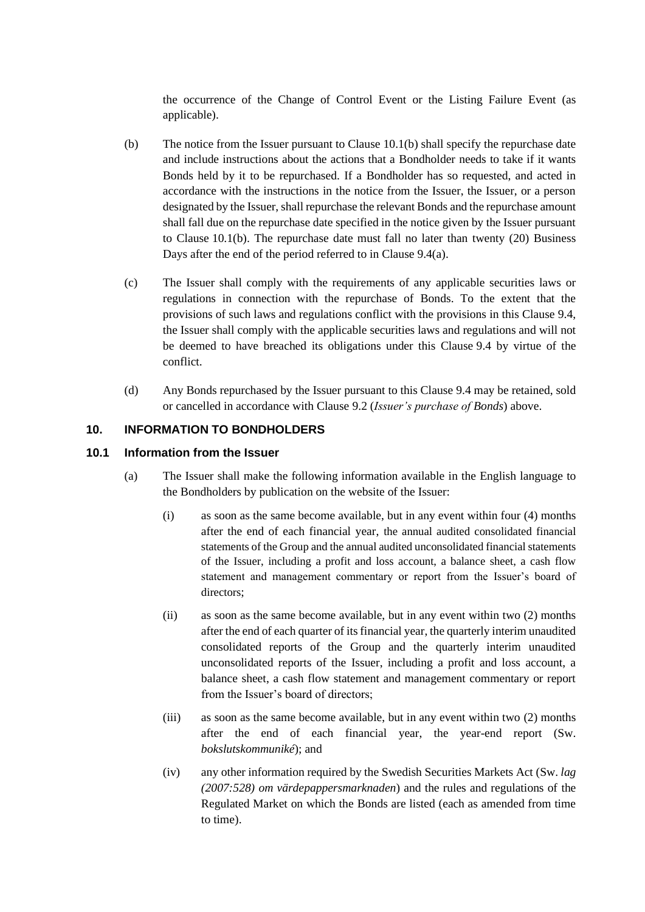the occurrence of the Change of Control Event or the Listing Failure Event (as applicable).

- (b) The notice from the Issuer pursuant to Clause [10.1\(b\)](#page-19-0) shall specify the repurchase date and include instructions about the actions that a Bondholder needs to take if it wants Bonds held by it to be repurchased. If a Bondholder has so requested, and acted in accordance with the instructions in the notice from the Issuer, the Issuer, or a person designated by the Issuer, shall repurchase the relevant Bonds and the repurchase amount shall fall due on the repurchase date specified in the notice given by the Issuer pursuant to Clause [10.1\(b\).](#page-19-0) The repurchase date must fall no later than twenty (20) Business Days after the end of the period referred to in Clause [9.4\(a\).](#page-17-3)
- (c) The Issuer shall comply with the requirements of any applicable securities laws or regulations in connection with the repurchase of Bonds. To the extent that the provisions of such laws and regulations conflict with the provisions in this Clause [9.4,](#page-17-4) the Issuer shall comply with the applicable securities laws and regulations and will not be deemed to have breached its obligations under this Clause [9.4](#page-17-4) by virtue of the conflict.
- (d) Any Bonds repurchased by the Issuer pursuant to this Clause [9.4](#page-17-4) may be retained, sold or cancelled in accordance with Clause [9.2](#page-17-5) (*[Issuer's purchase of Bonds](#page-17-5)*) above.

## <span id="page-18-0"></span>**10. INFORMATION TO BONDHOLDERS**

#### <span id="page-18-2"></span><span id="page-18-1"></span>**10.1 Information from the Issuer**

- (a) The Issuer shall make the following information available in the English language to the Bondholders by publication on the website of the Issuer:
	- (i) as soon as the same become available, but in any event within four (4) months after the end of each financial year, the annual audited consolidated financial statements of the Group and the annual audited unconsolidated financial statements of the Issuer, including a profit and loss account, a balance sheet, a cash flow statement and management commentary or report from the Issuer's board of directors;
	- (ii) as soon as the same become available, but in any event within two (2) months after the end of each quarter of its financial year, the quarterly interim unaudited consolidated reports of the Group and the quarterly interim unaudited unconsolidated reports of the Issuer, including a profit and loss account, a balance sheet, a cash flow statement and management commentary or report from the Issuer's board of directors;
	- (iii) as soon as the same become available, but in any event within two (2) months after the end of each financial year, the year-end report (Sw. *bokslutskommuniké*); and
	- (iv) any other information required by the Swedish Securities Markets Act (Sw. *lag (2007:528) om värdepappersmarknaden*) and the rules and regulations of the Regulated Market on which the Bonds are listed (each as amended from time to time).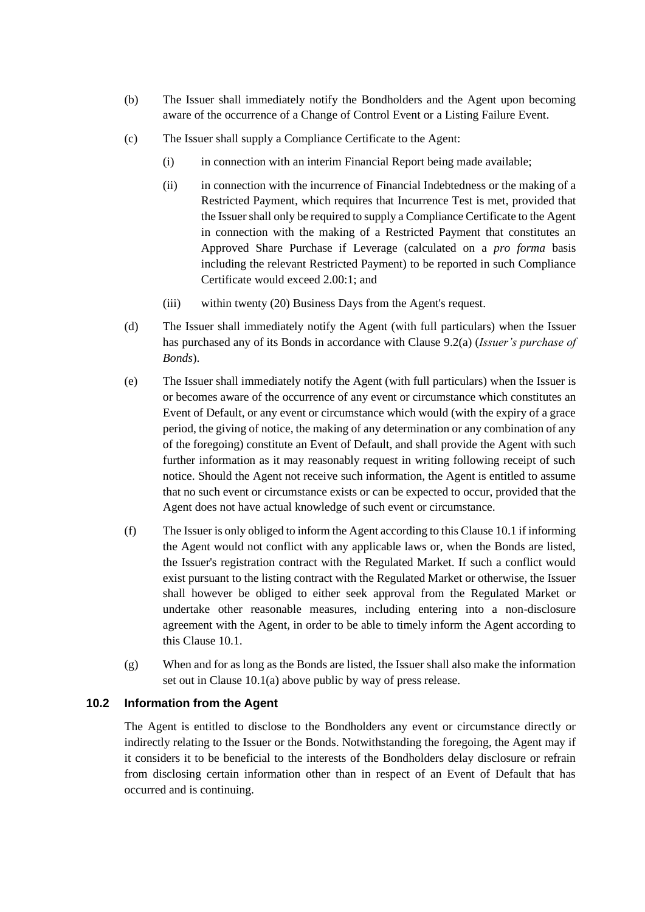- <span id="page-19-0"></span>(b) The Issuer shall immediately notify the Bondholders and the Agent upon becoming aware of the occurrence of a Change of Control Event or a Listing Failure Event.
- (c) The Issuer shall supply a Compliance Certificate to the Agent:
	- (i) in connection with an interim Financial Report being made available;
	- (ii) in connection with the incurrence of Financial Indebtedness or the making of a Restricted Payment, which requires that Incurrence Test is met, provided that the Issuer shall only be required to supply a Compliance Certificate to the Agent in connection with the making of a Restricted Payment that constitutes an Approved Share Purchase if Leverage (calculated on a *pro forma* basis including the relevant Restricted Payment) to be reported in such Compliance Certificate would exceed 2.00:1; and
	- (iii) within twenty (20) Business Days from the Agent's request.
- (d) The Issuer shall immediately notify the Agent (with full particulars) when the Issuer has purchased any of its Bonds in accordance with Clause [9.2](#page-17-5)[\(a\)](#page-17-1) (*Issuer's purchase of Bonds*).
- (e) The Issuer shall immediately notify the Agent (with full particulars) when the Issuer is or becomes aware of the occurrence of any event or circumstance which constitutes an Event of Default, or any event or circumstance which would (with the expiry of a grace period, the giving of notice, the making of any determination or any combination of any of the foregoing) constitute an Event of Default, and shall provide the Agent with such further information as it may reasonably request in writing following receipt of such notice. Should the Agent not receive such information, the Agent is entitled to assume that no such event or circumstance exists or can be expected to occur, provided that the Agent does not have actual knowledge of such event or circumstance.
- (f) The Issuer is only obliged to inform the Agent according to this Claus[e 10.1](#page-18-1) if informing the Agent would not conflict with any applicable laws or, when the Bonds are listed, the Issuer's registration contract with the Regulated Market. If such a conflict would exist pursuant to the listing contract with the Regulated Market or otherwise, the Issuer shall however be obliged to either seek approval from the Regulated Market or undertake other reasonable measures, including entering into a non-disclosure agreement with the Agent, in order to be able to timely inform the Agent according to this Clause [10.1.](#page-18-1)
- (g) When and for as long as the Bonds are listed, the Issuer shall also make the information set out in Clause [10.1\(a\)](#page-18-2) above public by way of press release.

## **10.2 Information from the Agent**

The Agent is entitled to disclose to the Bondholders any event or circumstance directly or indirectly relating to the Issuer or the Bonds. Notwithstanding the foregoing, the Agent may if it considers it to be beneficial to the interests of the Bondholders delay disclosure or refrain from disclosing certain information other than in respect of an Event of Default that has occurred and is continuing.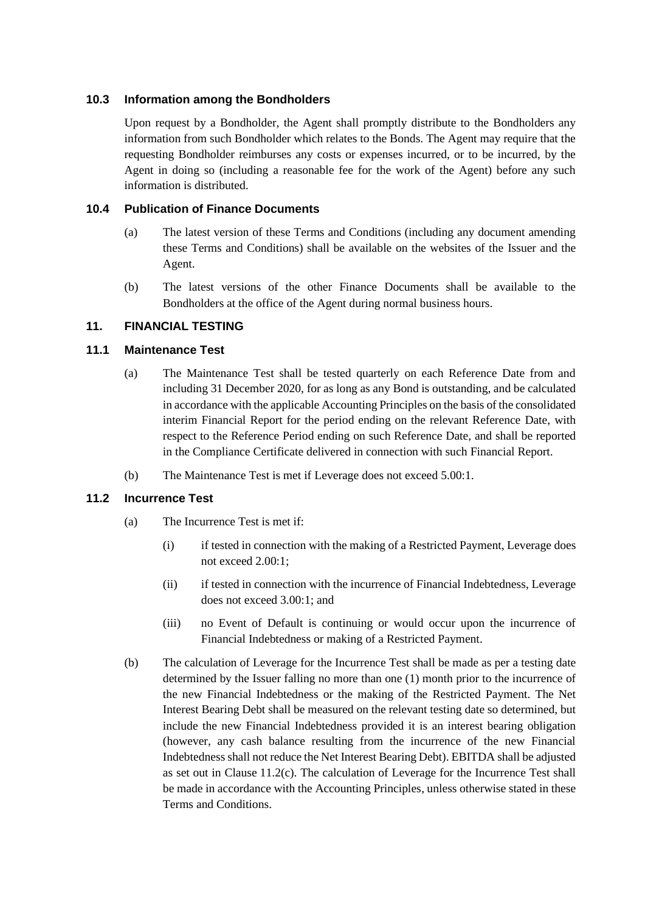## **10.3 Information among the Bondholders**

Upon request by a Bondholder, the Agent shall promptly distribute to the Bondholders any information from such Bondholder which relates to the Bonds. The Agent may require that the requesting Bondholder reimburses any costs or expenses incurred, or to be incurred, by the Agent in doing so (including a reasonable fee for the work of the Agent) before any such information is distributed.

## <span id="page-20-3"></span>**10.4 Publication of Finance Documents**

- (a) The latest version of these Terms and Conditions (including any document amending these Terms and Conditions) shall be available on the websites of the Issuer and the Agent.
- (b) The latest versions of the other Finance Documents shall be available to the Bondholders at the office of the Agent during normal business hours.

## <span id="page-20-0"></span>**11. FINANCIAL TESTING**

## <span id="page-20-2"></span>**11.1 Maintenance Test**

- (a) The Maintenance Test shall be tested quarterly on each Reference Date from and including 31 December 2020, for as long as any Bond is outstanding, and be calculated in accordance with the applicable Accounting Principles on the basis of the consolidated interim Financial Report for the period ending on the relevant Reference Date, with respect to the Reference Period ending on such Reference Date, and shall be reported in the Compliance Certificate delivered in connection with such Financial Report.
- (b) The Maintenance Test is met if Leverage does not exceed 5.00:1.

## <span id="page-20-1"></span>**11.2 Incurrence Test**

- (a) The Incurrence Test is met if:
	- (i) if tested in connection with the making of a Restricted Payment, Leverage does not exceed 2.00:1;
	- (ii) if tested in connection with the incurrence of Financial Indebtedness, Leverage does not exceed 3.00:1; and
	- (iii) no Event of Default is continuing or would occur upon the incurrence of Financial Indebtedness or making of a Restricted Payment.
- (b) The calculation of Leverage for the Incurrence Test shall be made as per a testing date determined by the Issuer falling no more than one (1) month prior to the incurrence of the new Financial Indebtedness or the making of the Restricted Payment. The Net Interest Bearing Debt shall be measured on the relevant testing date so determined, but include the new Financial Indebtedness provided it is an interest bearing obligation (however, any cash balance resulting from the incurrence of the new Financial Indebtedness shall not reduce the Net Interest Bearing Debt). EBITDA shall be adjusted as set out in Clause [11.2](#page-20-1)[\(c\).](#page-21-1) The calculation of Leverage for the Incurrence Test shall be made in accordance with the Accounting Principles, unless otherwise stated in these Terms and Conditions.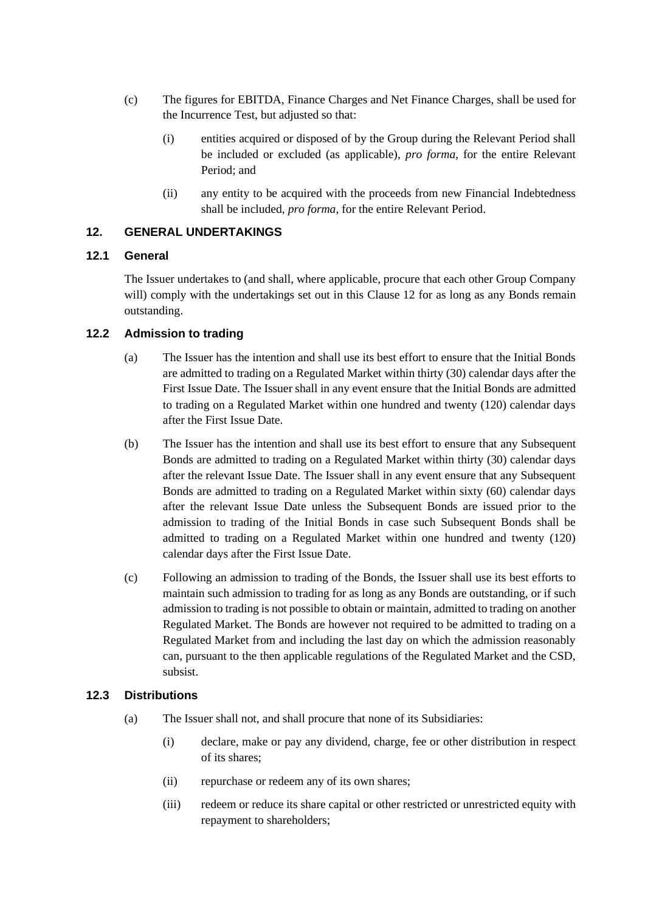- <span id="page-21-1"></span>(c) The figures for EBITDA, Finance Charges and Net Finance Charges, shall be used for the Incurrence Test, but adjusted so that:
	- (i) entities acquired or disposed of by the Group during the Relevant Period shall be included or excluded (as applicable), *pro forma*, for the entire Relevant Period; and
	- (ii) any entity to be acquired with the proceeds from new Financial Indebtedness shall be included, *pro forma*, for the entire Relevant Period.

## <span id="page-21-0"></span>**12. GENERAL UNDERTAKINGS**

## **12.1 General**

The Issuer undertakes to (and shall, where applicable, procure that each other Group Company will) comply with the undertakings set out in this Clause [12](#page-21-0) for as long as any Bonds remain outstanding.

## **12.2 Admission to trading**

- (a) The Issuer has the intention and shall use its best effort to ensure that the Initial Bonds are admitted to trading on a Regulated Market within thirty (30) calendar days after the First Issue Date. The Issuer shall in any event ensure that the Initial Bonds are admitted to trading on a Regulated Market within one hundred and twenty (120) calendar days after the First Issue Date.
- (b) The Issuer has the intention and shall use its best effort to ensure that any Subsequent Bonds are admitted to trading on a Regulated Market within thirty (30) calendar days after the relevant Issue Date. The Issuer shall in any event ensure that any Subsequent Bonds are admitted to trading on a Regulated Market within sixty (60) calendar days after the relevant Issue Date unless the Subsequent Bonds are issued prior to the admission to trading of the Initial Bonds in case such Subsequent Bonds shall be admitted to trading on a Regulated Market within one hundred and twenty (120) calendar days after the First Issue Date.
- (c) Following an admission to trading of the Bonds, the Issuer shall use its best efforts to maintain such admission to trading for as long as any Bonds are outstanding, or if such admission to trading is not possible to obtain or maintain, admitted to trading on another Regulated Market. The Bonds are however not required to be admitted to trading on a Regulated Market from and including the last day on which the admission reasonably can, pursuant to the then applicable regulations of the Regulated Market and the CSD, subsist.

## <span id="page-21-3"></span><span id="page-21-2"></span>**12.3 Distributions**

- (a) The Issuer shall not, and shall procure that none of its Subsidiaries:
	- (i) declare, make or pay any dividend, charge, fee or other distribution in respect of its shares;
	- (ii) repurchase or redeem any of its own shares;
	- (iii) redeem or reduce its share capital or other restricted or unrestricted equity with repayment to shareholders;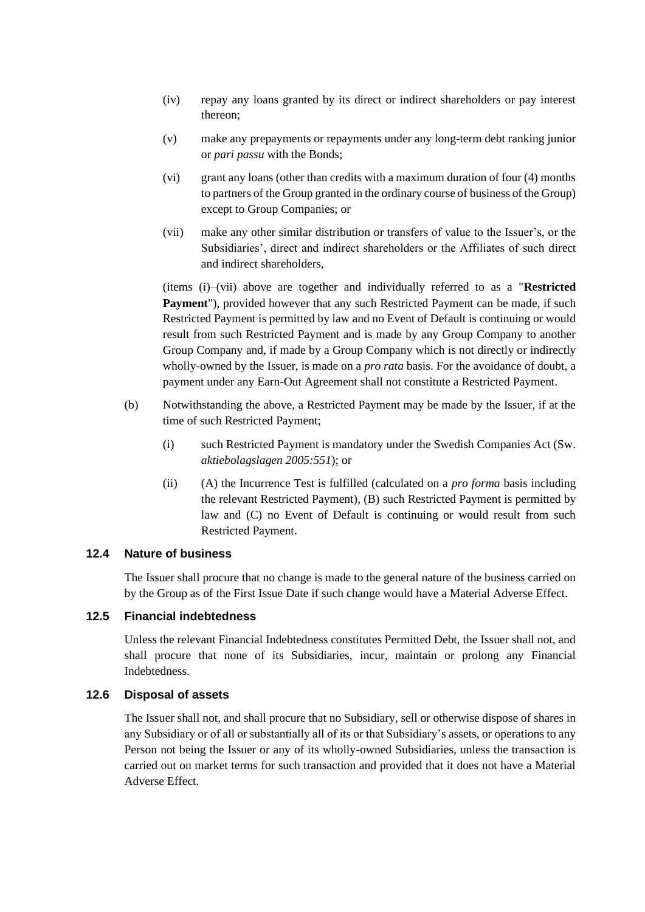- (iv) repay any loans granted by its direct or indirect shareholders or pay interest thereon;
- (v) make any prepayments or repayments under any long-term debt ranking junior or *pari passu* with the Bonds;
- (vi) grant any loans (other than credits with a maximum duration of four (4) months to partners of the Group granted in the ordinary course of business of the Group) except to Group Companies; or
- <span id="page-22-0"></span>(vii) make any other similar distribution or transfers of value to the Issuer's, or the Subsidiaries', direct and indirect shareholders or the Affiliates of such direct and indirect shareholders,

(items [\(i\)](#page-21-3)[–\(vii\)](#page-22-0) above are together and individually referred to as a "**Restricted Payment**"), provided however that any such Restricted Payment can be made, if such Restricted Payment is permitted by law and no Event of Default is continuing or would result from such Restricted Payment and is made by any Group Company to another Group Company and, if made by a Group Company which is not directly or indirectly wholly-owned by the Issuer, is made on a *pro rata* basis. For the avoidance of doubt, a payment under any Earn-Out Agreement shall not constitute a Restricted Payment.

- (b) Notwithstanding the above, a Restricted Payment may be made by the Issuer, if at the time of such Restricted Payment;
	- (i) such Restricted Payment is mandatory under the Swedish Companies Act (Sw. *aktiebolagslagen 2005:551*); or
	- (ii) (A) the Incurrence Test is fulfilled (calculated on a *pro forma* basis including the relevant Restricted Payment), (B) such Restricted Payment is permitted by law and (C) no Event of Default is continuing or would result from such Restricted Payment.

#### **12.4 Nature of business**

The Issuer shall procure that no change is made to the general nature of the business carried on by the Group as of the First Issue Date if such change would have a Material Adverse Effect.

#### **12.5 Financial indebtedness**

Unless the relevant Financial Indebtedness constitutes Permitted Debt, the Issuer shall not, and shall procure that none of its Subsidiaries, incur, maintain or prolong any Financial Indebtedness.

#### **12.6 Disposal of assets**

The Issuer shall not, and shall procure that no Subsidiary, sell or otherwise dispose of shares in any Subsidiary or of all or substantially all of its or that Subsidiary's assets, or operations to any Person not being the Issuer or any of its wholly-owned Subsidiaries, unless the transaction is carried out on market terms for such transaction and provided that it does not have a Material Adverse Effect.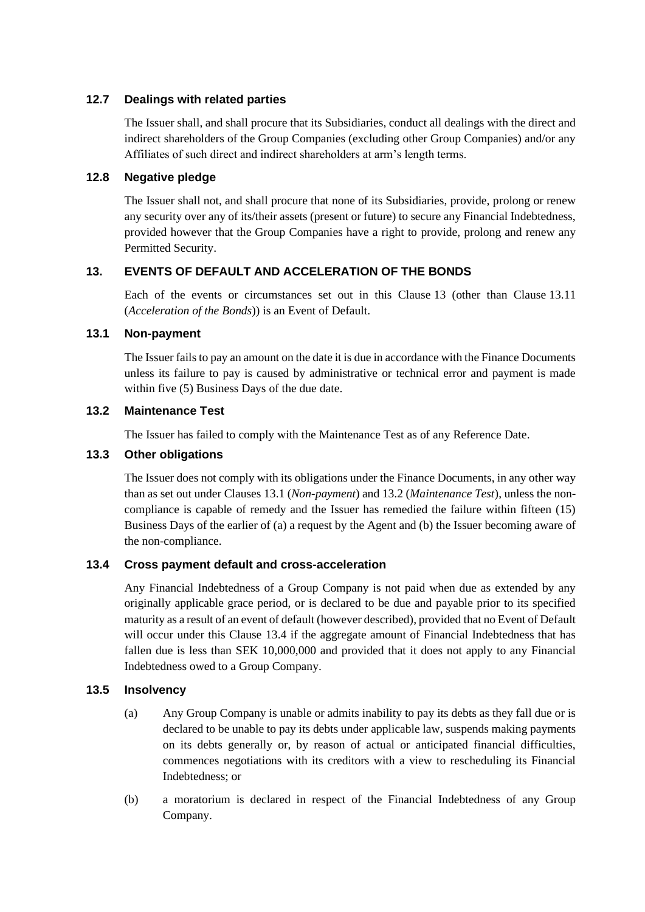## **12.7 Dealings with related parties**

The Issuer shall, and shall procure that its Subsidiaries, conduct all dealings with the direct and indirect shareholders of the Group Companies (excluding other Group Companies) and/or any Affiliates of such direct and indirect shareholders at arm's length terms.

## **12.8 Negative pledge**

The Issuer shall not, and shall procure that none of its Subsidiaries, provide, prolong or renew any security over any of its/their assets (present or future) to secure any Financial Indebtedness, provided however that the Group Companies have a right to provide, prolong and renew any Permitted Security.

## <span id="page-23-0"></span>**13. EVENTS OF DEFAULT AND ACCELERATION OF THE BONDS**

Each of the events or circumstances set out in this Clause [13](#page-23-0) (other than Clause [13.11](#page-24-1) (*[Acceleration of the Bonds](#page-24-1)*)) is an Event of Default.

## <span id="page-23-1"></span>**13.1 Non-payment**

The Issuer fails to pay an amount on the date it is due in accordance with the Finance Documents unless its failure to pay is caused by administrative or technical error and payment is made within five (5) Business Days of the due date.

## <span id="page-23-2"></span>**13.2 Maintenance Test**

The Issuer has failed to comply with the Maintenance Test as of any Reference Date.

## **13.3 Other obligations**

The Issuer does not comply with its obligations under the Finance Documents, in any other way than as set out under Clauses [13.1](#page-23-1) (*[Non-payment](#page-23-1)*) and [13.2](#page-23-2) (*[Maintenance Test](#page-23-2)*), unless the noncompliance is capable of remedy and the Issuer has remedied the failure within fifteen (15) Business Days of the earlier of (a) a request by the Agent and (b) the Issuer becoming aware of the non-compliance.

## <span id="page-23-3"></span>**13.4 Cross payment default and cross-acceleration**

Any Financial Indebtedness of a Group Company is not paid when due as extended by any originally applicable grace period, or is declared to be due and payable prior to its specified maturity as a result of an event of default (however described), provided that no Event of Default will occur under this Clause [13.4](#page-23-3) if the aggregate amount of Financial Indebtedness that has fallen due is less than SEK 10,000,000 and provided that it does not apply to any Financial Indebtedness owed to a Group Company.

## **13.5 Insolvency**

- (a) Any Group Company is unable or admits inability to pay its debts as they fall due or is declared to be unable to pay its debts under applicable law, suspends making payments on its debts generally or, by reason of actual or anticipated financial difficulties, commences negotiations with its creditors with a view to rescheduling its Financial Indebtedness; or
- (b) a moratorium is declared in respect of the Financial Indebtedness of any Group Company.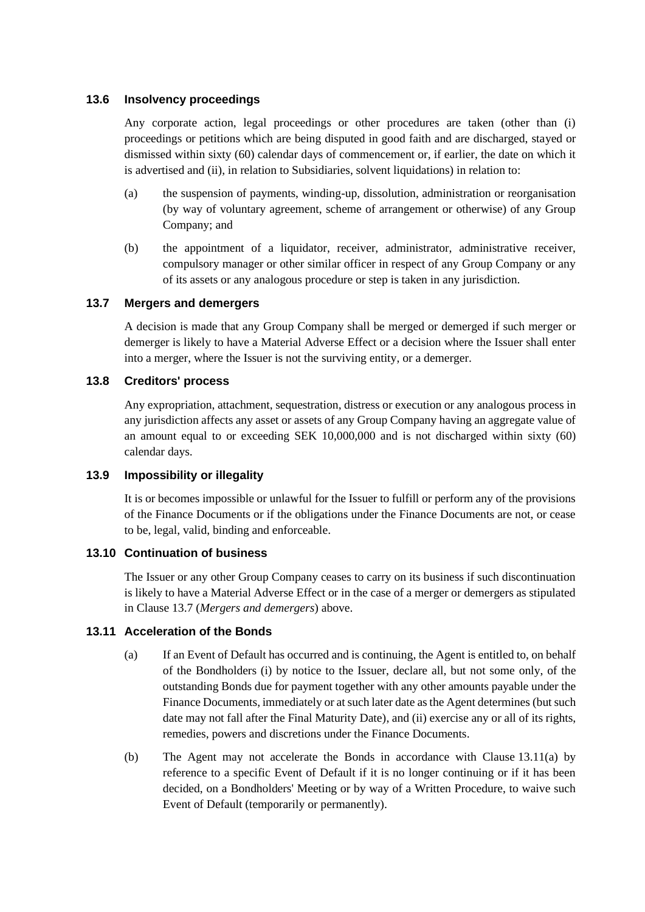## **13.6 Insolvency proceedings**

Any corporate action, legal proceedings or other procedures are taken (other than (i) proceedings or petitions which are being disputed in good faith and are discharged, stayed or dismissed within sixty (60) calendar days of commencement or, if earlier, the date on which it is advertised and (ii), in relation to Subsidiaries, solvent liquidations) in relation to:

- (a) the suspension of payments, winding-up, dissolution, administration or reorganisation (by way of voluntary agreement, scheme of arrangement or otherwise) of any Group Company; and
- (b) the appointment of a liquidator, receiver, administrator, administrative receiver, compulsory manager or other similar officer in respect of any Group Company or any of its assets or any analogous procedure or step is taken in any jurisdiction.

## <span id="page-24-2"></span>**13.7 Mergers and demergers**

A decision is made that any Group Company shall be merged or demerged if such merger or demerger is likely to have a Material Adverse Effect or a decision where the Issuer shall enter into a merger, where the Issuer is not the surviving entity, or a demerger.

#### **13.8 Creditors' process**

Any expropriation, attachment, sequestration, distress or execution or any analogous process in any jurisdiction affects any asset or assets of any Group Company having an aggregate value of an amount equal to or exceeding SEK 10,000,000 and is not discharged within sixty (60) calendar days.

## **13.9 Impossibility or illegality**

It is or becomes impossible or unlawful for the Issuer to fulfill or perform any of the provisions of the Finance Documents or if the obligations under the Finance Documents are not, or cease to be, legal, valid, binding and enforceable.

## <span id="page-24-0"></span>**13.10 Continuation of business**

The Issuer or any other Group Company ceases to carry on its business if such discontinuation is likely to have a Material Adverse Effect or in the case of a merger or demergers as stipulated in Clause [13.7](#page-24-2) (*[Mergers and demergers](#page-24-2)*) above.

## <span id="page-24-3"></span><span id="page-24-1"></span>**13.11 Acceleration of the Bonds**

- (a) If an Event of Default has occurred and is continuing, the Agent is entitled to, on behalf of the Bondholders (i) by notice to the Issuer, declare all, but not some only, of the outstanding Bonds due for payment together with any other amounts payable under the Finance Documents, immediately or at such later date as the Agent determines (but such date may not fall after the Final Maturity Date), and (ii) exercise any or all of its rights, remedies, powers and discretions under the Finance Documents.
- (b) The Agent may not accelerate the Bonds in accordance with Clause [13.11\(a\)](#page-24-3) by reference to a specific Event of Default if it is no longer continuing or if it has been decided, on a Bondholders' Meeting or by way of a Written Procedure, to waive such Event of Default (temporarily or permanently).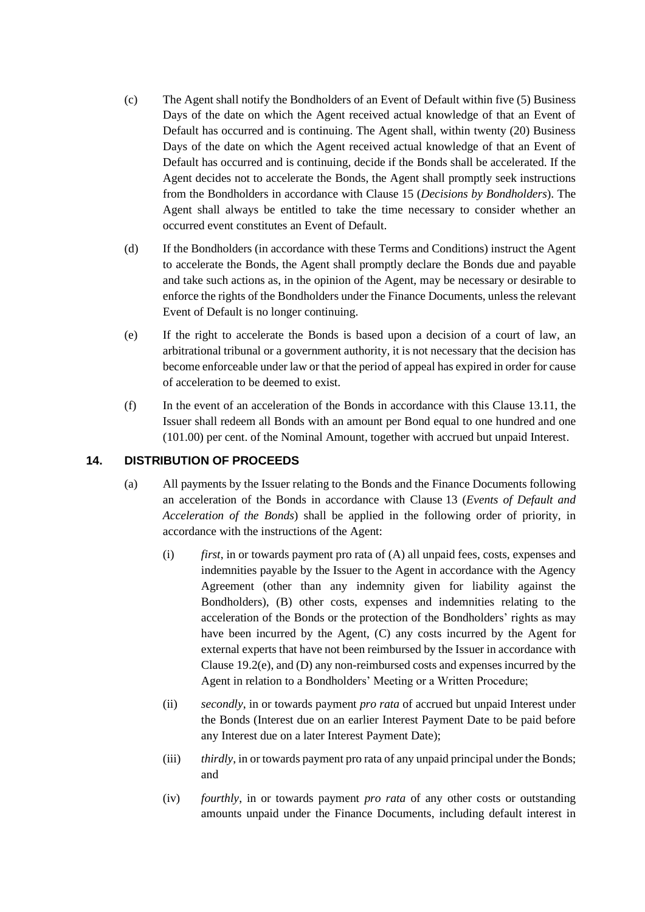- <span id="page-25-1"></span>(c) The Agent shall notify the Bondholders of an Event of Default within five (5) Business Days of the date on which the Agent received actual knowledge of that an Event of Default has occurred and is continuing. The Agent shall, within twenty (20) Business Days of the date on which the Agent received actual knowledge of that an Event of Default has occurred and is continuing, decide if the Bonds shall be accelerated. If the Agent decides not to accelerate the Bonds, the Agent shall promptly seek instructions from the Bondholders in accordance with Clause [15](#page-26-0) (*[Decisions by Bondholders](#page-26-0)*). The Agent shall always be entitled to take the time necessary to consider whether an occurred event constitutes an Event of Default.
- (d) If the Bondholders (in accordance with these Terms and Conditions) instruct the Agent to accelerate the Bonds, the Agent shall promptly declare the Bonds due and payable and take such actions as, in the opinion of the Agent, may be necessary or desirable to enforce the rights of the Bondholders under the Finance Documents, unless the relevant Event of Default is no longer continuing.
- (e) If the right to accelerate the Bonds is based upon a decision of a court of law, an arbitrational tribunal or a government authority, it is not necessary that the decision has become enforceable under law or that the period of appeal has expired in order for cause of acceleration to be deemed to exist.
- (f) In the event of an acceleration of the Bonds in accordance with this Clause [13.11,](#page-24-1) the Issuer shall redeem all Bonds with an amount per Bond equal to one hundred and one (101.00) per cent. of the Nominal Amount, together with accrued but unpaid Interest.

## <span id="page-25-0"></span>**14. DISTRIBUTION OF PROCEEDS**

- (a) All payments by the Issuer relating to the Bonds and the Finance Documents following an acceleration of the Bonds in accordance with Clause [13](#page-23-0) (*[Events of Default and](#page-23-0)  [Acceleration of the Bonds](#page-23-0)*) shall be applied in the following order of priority, in accordance with the instructions of the Agent:
	- (i) *first*, in or towards payment pro rata of (A) all unpaid fees, costs, expenses and indemnities payable by the Issuer to the Agent in accordance with the Agency Agreement (other than any indemnity given for liability against the Bondholders), (B) other costs, expenses and indemnities relating to the acceleration of the Bonds or the protection of the Bondholders' rights as may have been incurred by the Agent, (C) any costs incurred by the Agent for external experts that have not been reimbursed by the Issuer in accordance with Clause [19.2\(e\),](#page-31-0) and (D) any non-reimbursed costs and expenses incurred by the Agent in relation to a Bondholders' Meeting or a Written Procedure;
	- (ii) *secondly*, in or towards payment *pro rata* of accrued but unpaid Interest under the Bonds (Interest due on an earlier Interest Payment Date to be paid before any Interest due on a later Interest Payment Date);
	- (iii) *thirdly*, in or towards payment pro rata of any unpaid principal under the Bonds; and
	- (iv) *fourthly*, in or towards payment *pro rata* of any other costs or outstanding amounts unpaid under the Finance Documents, including default interest in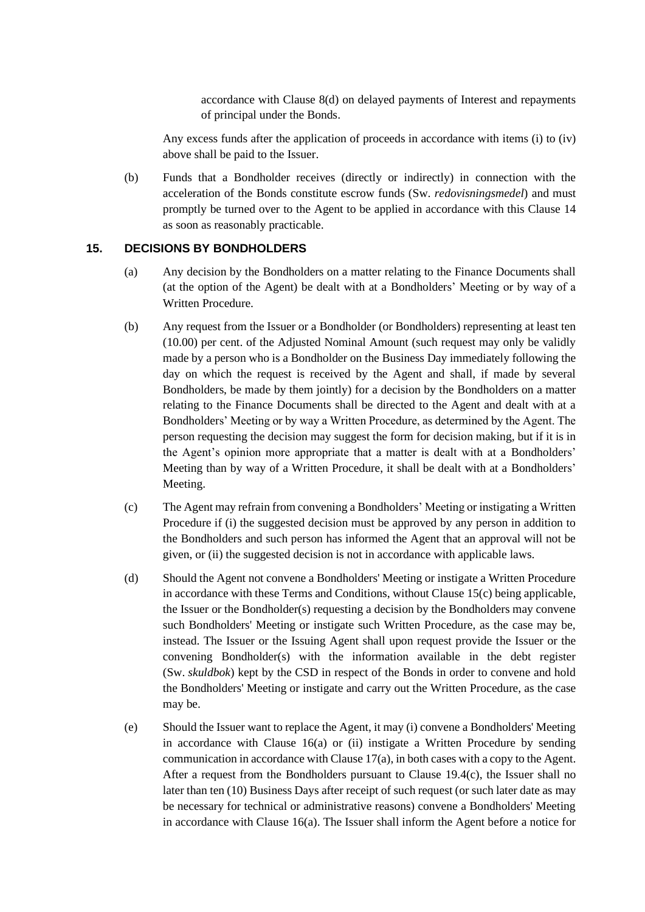accordance with Clause [8\(d\)](#page-16-3) on delayed payments of Interest and repayments of principal under the Bonds.

Any excess funds after the application of proceeds in accordance with items (i) to (iv) above shall be paid to the Issuer.

(b) Funds that a Bondholder receives (directly or indirectly) in connection with the acceleration of the Bonds constitute escrow funds (Sw. *redovisningsmedel*) and must promptly be turned over to the Agent to be applied in accordance with this Clause [14](#page-25-0) as soon as reasonably practicable.

## <span id="page-26-0"></span>**15. DECISIONS BY BONDHOLDERS**

- (a) Any decision by the Bondholders on a matter relating to the Finance Documents shall (at the option of the Agent) be dealt with at a Bondholders' Meeting or by way of a Written Procedure.
- (b) Any request from the Issuer or a Bondholder (or Bondholders) representing at least ten (10.00) per cent. of the Adjusted Nominal Amount (such request may only be validly made by a person who is a Bondholder on the Business Day immediately following the day on which the request is received by the Agent and shall, if made by several Bondholders, be made by them jointly) for a decision by the Bondholders on a matter relating to the Finance Documents shall be directed to the Agent and dealt with at a Bondholders' Meeting or by way a Written Procedure, as determined by the Agent. The person requesting the decision may suggest the form for decision making, but if it is in the Agent's opinion more appropriate that a matter is dealt with at a Bondholders' Meeting than by way of a Written Procedure, it shall be dealt with at a Bondholders' Meeting.
- <span id="page-26-1"></span>(c) The Agent may refrain from convening a Bondholders' Meeting or instigating a Written Procedure if (i) the suggested decision must be approved by any person in addition to the Bondholders and such person has informed the Agent that an approval will not be given, or (ii) the suggested decision is not in accordance with applicable laws.
- (d) Should the Agent not convene a Bondholders' Meeting or instigate a Written Procedure in accordance with these Terms and Conditions, without Clause [15\(c\)](#page-26-1) being applicable, the Issuer or the Bondholder(s) requesting a decision by the Bondholders may convene such Bondholders' Meeting or instigate such Written Procedure, as the case may be, instead. The Issuer or the Issuing Agent shall upon request provide the Issuer or the convening Bondholder(s) with the information available in the debt register (Sw. *skuldbok*) kept by the CSD in respect of the Bonds in order to convene and hold the Bondholders' Meeting or instigate and carry out the Written Procedure, as the case may be.
- (e) Should the Issuer want to replace the Agent, it may (i) convene a Bondholders' Meeting in accordance with Clause [16\(a\)](#page-29-2) or (ii) instigate a Written Procedure by sending communication in accordance with Claus[e 17\(a\),](#page-29-3) in both cases with a copy to the Agent. After a request from the Bondholders pursuant to Clause  $19.4(c)$ , the Issuer shall no later than ten (10) Business Days after receipt of such request (or such later date as may be necessary for technical or administrative reasons) convene a Bondholders' Meeting in accordance with Clause [16\(a\).](#page-29-2) The Issuer shall inform the Agent before a notice for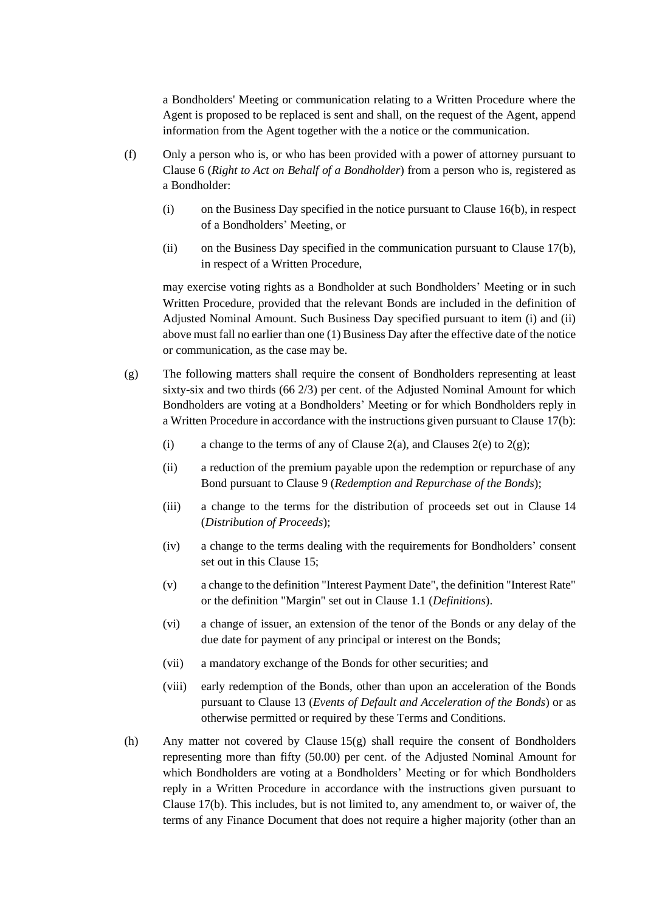a Bondholders' Meeting or communication relating to a Written Procedure where the Agent is proposed to be replaced is sent and shall, on the request of the Agent, append information from the Agent together with the a notice or the communication.

- <span id="page-27-1"></span>(f) Only a person who is, or who has been provided with a power of attorney pursuant to Clause [6](#page-15-0) (*[Right to Act on Behalf of a Bondholder](#page-15-0)*) from a person who is, registered as a Bondholder:
	- (i) on the Business Day specified in the notice pursuant to Clause [16\(b\),](#page-29-4) in respect of a Bondholders' Meeting, or
	- (ii) on the Business Day specified in the communication pursuant to Clause [17\(b\),](#page-30-2) in respect of a Written Procedure,

<span id="page-27-2"></span>may exercise voting rights as a Bondholder at such Bondholders' Meeting or in such Written Procedure, provided that the relevant Bonds are included in the definition of Adjusted Nominal Amount. Such Business Day specified pursuant to item (i) and (ii) above must fall no earlier than one (1) Business Day after the effective date of the notice or communication, as the case may be.

- <span id="page-27-0"></span>(g) The following matters shall require the consent of Bondholders representing at least sixty-six and two thirds (66 2/3) per cent. of the Adjusted Nominal Amount for which Bondholders are voting at a Bondholders' Meeting or for which Bondholders reply in a Written Procedure in accordance with the instructions given pursuant to Clause [17\(b\):](#page-30-2)
	- (i) a change to the terms of any of Clause [2\(a\),](#page-12-1) and Clauses [2\(e\)](#page-13-3) to  $2(g)$ ;
	- (ii) a reduction of the premium payable upon the redemption or repurchase of any Bond pursuant to Clause [9](#page-17-0) (*Redemption [and Repurchase of the Bonds](#page-17-0)*);
	- (iii) a change to the terms for the distribution of proceeds set out in Clause [14](#page-25-0) (*[Distribution of Proceeds](#page-25-0)*);
	- (iv) a change to the terms dealing with the requirements for Bondholders' consent set out in this Clause [15;](#page-26-0)
	- (v) a change to the definition "Interest Payment Date", the definition "Interest Rate" or the definition "Margin" set out in Clause [1.1](#page-3-1) (*[Definitions](#page-3-1)*).
	- (vi) a change of issuer, an extension of the tenor of the Bonds or any delay of the due date for payment of any principal or interest on the Bonds;
	- (vii) a mandatory exchange of the Bonds for other securities; and
	- (viii) early redemption of the Bonds, other than upon an acceleration of the Bonds pursuant to Clause [13](#page-23-0) (*[Events of Default and Acceleration of the Bonds](#page-23-0)*) or as otherwise permitted or required by these Terms and Conditions.
- <span id="page-27-3"></span>(h) Any matter not covered by Clause  $15(g)$  shall require the consent of Bondholders representing more than fifty (50.00) per cent. of the Adjusted Nominal Amount for which Bondholders are voting at a Bondholders' Meeting or for which Bondholders reply in a Written Procedure in accordance with the instructions given pursuant to Clause [17\(b\).](#page-30-2) This includes, but is not limited to, any amendment to, or waiver of, the terms of any Finance Document that does not require a higher majority (other than an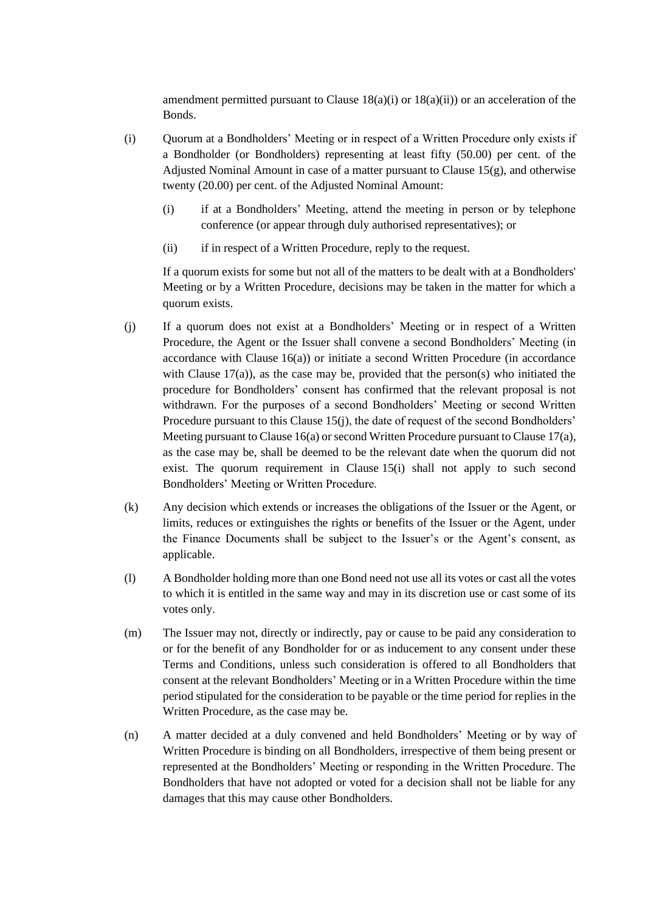amendment permitted pursuant to Clause  $18(a)(i)$  or  $18(a)(ii)$  or an acceleration of the Bonds.

- <span id="page-28-1"></span>(i) Quorum at a Bondholders' Meeting or in respect of a Written Procedure only exists if a Bondholder (or Bondholders) representing at least fifty (50.00) per cent. of the Adjusted Nominal Amount in case of a matter pursuant to Clause  $15(g)$ , and otherwise twenty (20.00) per cent. of the Adjusted Nominal Amount:
	- (i) if at a Bondholders' Meeting, attend the meeting in person or by telephone conference (or appear through duly authorised representatives); or
	- (ii) if in respect of a Written Procedure, reply to the request.

If a quorum exists for some but not all of the matters to be dealt with at a Bondholders' Meeting or by a Written Procedure, decisions may be taken in the matter for which a quorum exists.

- <span id="page-28-0"></span>(j) If a quorum does not exist at a Bondholders' Meeting or in respect of a Written Procedure, the Agent or the Issuer shall convene a second Bondholders' Meeting (in accordance with Clause  $16(a)$ ) or initiate a second Written Procedure (in accordance with Clause  $17(a)$ ), as the case may be, provided that the person(s) who initiated the procedure for Bondholders' consent has confirmed that the relevant proposal is not withdrawn. For the purposes of a second Bondholders' Meeting or second Written Procedure pursuant to this Claus[e 15\(j\),](#page-28-0) the date of request of the second Bondholders' Meeting pursuant to Claus[e 16\(a\)](#page-29-2) or second Written Procedure pursuant to Claus[e 17\(a\),](#page-29-3) as the case may be, shall be deemed to be the relevant date when the quorum did not exist. The quorum requirement in Clause [15\(i\)](#page-28-1) shall not apply to such second Bondholders' Meeting or Written Procedure.
- (k) Any decision which extends or increases the obligations of the Issuer or the Agent, or limits, reduces or extinguishes the rights or benefits of the Issuer or the Agent, under the Finance Documents shall be subject to the Issuer's or the Agent's consent, as applicable.
- (l) A Bondholder holding more than one Bond need not use all its votes or cast all the votes to which it is entitled in the same way and may in its discretion use or cast some of its votes only.
- (m) The Issuer may not, directly or indirectly, pay or cause to be paid any consideration to or for the benefit of any Bondholder for or as inducement to any consent under these Terms and Conditions, unless such consideration is offered to all Bondholders that consent at the relevant Bondholders' Meeting or in a Written Procedure within the time period stipulated for the consideration to be payable or the time period for replies in the Written Procedure, as the case may be.
- (n) A matter decided at a duly convened and held Bondholders' Meeting or by way of Written Procedure is binding on all Bondholders, irrespective of them being present or represented at the Bondholders' Meeting or responding in the Written Procedure. The Bondholders that have not adopted or voted for a decision shall not be liable for any damages that this may cause other Bondholders.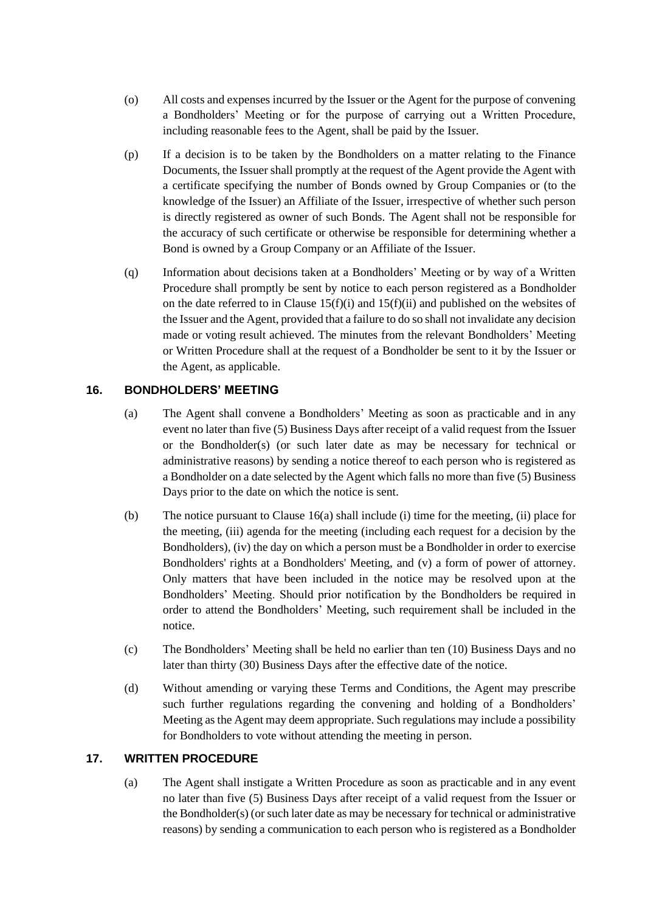- (o) All costs and expenses incurred by the Issuer or the Agent for the purpose of convening a Bondholders' Meeting or for the purpose of carrying out a Written Procedure, including reasonable fees to the Agent, shall be paid by the Issuer.
- (p) If a decision is to be taken by the Bondholders on a matter relating to the Finance Documents, the Issuer shall promptly at the request of the Agent provide the Agent with a certificate specifying the number of Bonds owned by Group Companies or (to the knowledge of the Issuer) an Affiliate of the Issuer, irrespective of whether such person is directly registered as owner of such Bonds. The Agent shall not be responsible for the accuracy of such certificate or otherwise be responsible for determining whether a Bond is owned by a Group Company or an Affiliate of the Issuer.
- <span id="page-29-5"></span>(q) Information about decisions taken at a Bondholders' Meeting or by way of a Written Procedure shall promptly be sent by notice to each person registered as a Bondholder on the date referred to in Clause  $15(f)(i)$  and  $15(f)(ii)$  and published on the websites of the Issuer and the Agent, provided that a failure to do so shall not invalidate any decision made or voting result achieved. The minutes from the relevant Bondholders' Meeting or Written Procedure shall at the request of a Bondholder be sent to it by the Issuer or the Agent, as applicable.

## <span id="page-29-2"></span><span id="page-29-0"></span>**16. BONDHOLDERS' MEETING**

- (a) The Agent shall convene a Bondholders' Meeting as soon as practicable and in any event no later than five (5) Business Days after receipt of a valid request from the Issuer or the Bondholder(s) (or such later date as may be necessary for technical or administrative reasons) by sending a notice thereof to each person who is registered as a Bondholder on a date selected by the Agent which falls no more than five (5) Business Days prior to the date on which the notice is sent.
- <span id="page-29-4"></span>(b) The notice pursuant to Clause [16\(a\)](#page-29-2) shall include (i) time for the meeting, (ii) place for the meeting, (iii) agenda for the meeting (including each request for a decision by the Bondholders), (iv) the day on which a person must be a Bondholder in order to exercise Bondholders' rights at a Bondholders' Meeting, and (v) a form of power of attorney. Only matters that have been included in the notice may be resolved upon at the Bondholders' Meeting. Should prior notification by the Bondholders be required in order to attend the Bondholders' Meeting, such requirement shall be included in the notice.
- (c) The Bondholders' Meeting shall be held no earlier than ten (10) Business Days and no later than thirty (30) Business Days after the effective date of the notice.
- (d) Without amending or varying these Terms and Conditions, the Agent may prescribe such further regulations regarding the convening and holding of a Bondholders' Meeting as the Agent may deem appropriate. Such regulations may include a possibility for Bondholders to vote without attending the meeting in person.

## <span id="page-29-3"></span><span id="page-29-1"></span>**17. WRITTEN PROCEDURE**

(a) The Agent shall instigate a Written Procedure as soon as practicable and in any event no later than five (5) Business Days after receipt of a valid request from the Issuer or the Bondholder(s) (or such later date as may be necessary for technical or administrative reasons) by sending a communication to each person who is registered as a Bondholder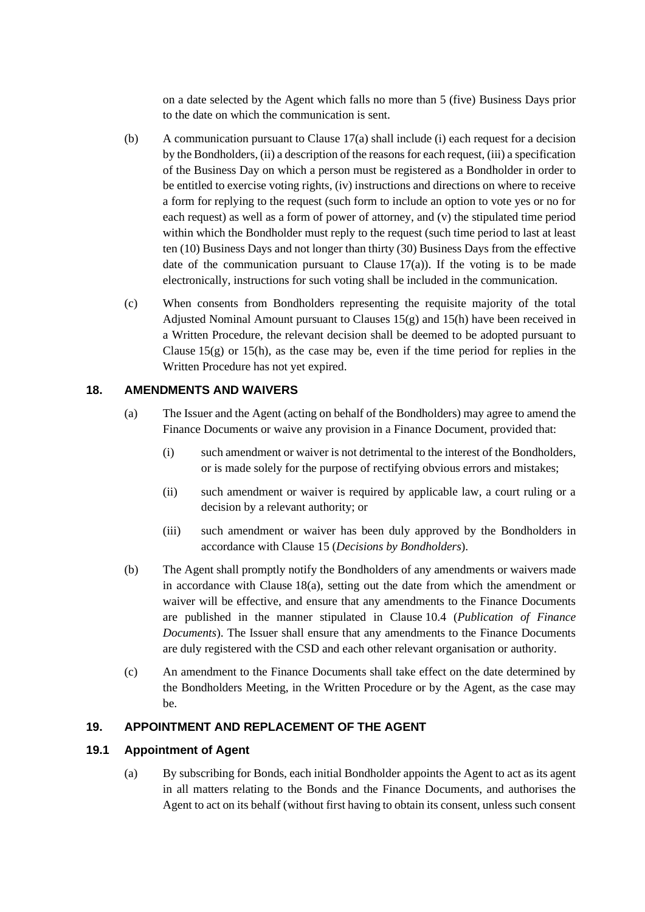on a date selected by the Agent which falls no more than 5 (five) Business Days prior to the date on which the communication is sent.

- <span id="page-30-2"></span>(b) A communication pursuant to Clause [17\(a\)](#page-29-3) shall include (i) each request for a decision by the Bondholders, (ii) a description of the reasons for each request, (iii) a specification of the Business Day on which a person must be registered as a Bondholder in order to be entitled to exercise voting rights, (iv) instructions and directions on where to receive a form for replying to the request (such form to include an option to vote yes or no for each request) as well as a form of power of attorney, and (v) the stipulated time period within which the Bondholder must reply to the request (such time period to last at least ten (10) Business Days and not longer than thirty (30) Business Days from the effective date of the communication pursuant to Clause  $17(a)$ ). If the voting is to be made electronically, instructions for such voting shall be included in the communication.
- (c) When consents from Bondholders representing the requisite majority of the total Adjusted Nominal Amount pursuant to Clauses  $15(g)$  and  $15(h)$  have been received in a Written Procedure, the relevant decision shall be deemed to be adopted pursuant to Clause  $15(g)$  or  $15(h)$ , as the case may be, even if the time period for replies in the Written Procedure has not yet expired.

## <span id="page-30-5"></span><span id="page-30-0"></span>**18. AMENDMENTS AND WAIVERS**

- <span id="page-30-4"></span><span id="page-30-3"></span>(a) The Issuer and the Agent (acting on behalf of the Bondholders) may agree to amend the Finance Documents or waive any provision in a Finance Document, provided that:
	- (i) such amendment or waiver is not detrimental to the interest of the Bondholders, or is made solely for the purpose of rectifying obvious errors and mistakes;
	- (ii) such amendment or waiver is required by applicable law, a court ruling or a decision by a relevant authority; or
	- (iii) such amendment or waiver has been duly approved by the Bondholders in accordance with Clause [15](#page-26-0) (*[Decisions by Bondholders](#page-26-0)*).
- <span id="page-30-7"></span>(b) The Agent shall promptly notify the Bondholders of any amendments or waivers made in accordance with Clause [18\(a\),](#page-30-5) setting out the date from which the amendment or waiver will be effective, and ensure that any amendments to the Finance Documents are published in the manner stipulated in Clause [10.4](#page-20-3) (*[Publication of Finance](#page-20-3)  [Documents](#page-20-3)*). The Issuer shall ensure that any amendments to the Finance Documents are duly registered with the CSD and each other relevant organisation or authority.
- (c) An amendment to the Finance Documents shall take effect on the date determined by the Bondholders Meeting, in the Written Procedure or by the Agent, as the case may be.

#### <span id="page-30-1"></span>**19. APPOINTMENT AND REPLACEMENT OF THE AGENT**

#### <span id="page-30-6"></span>**19.1 Appointment of Agent**

(a) By subscribing for Bonds, each initial Bondholder appoints the Agent to act as its agent in all matters relating to the Bonds and the Finance Documents, and authorises the Agent to act on its behalf (without first having to obtain its consent, unless such consent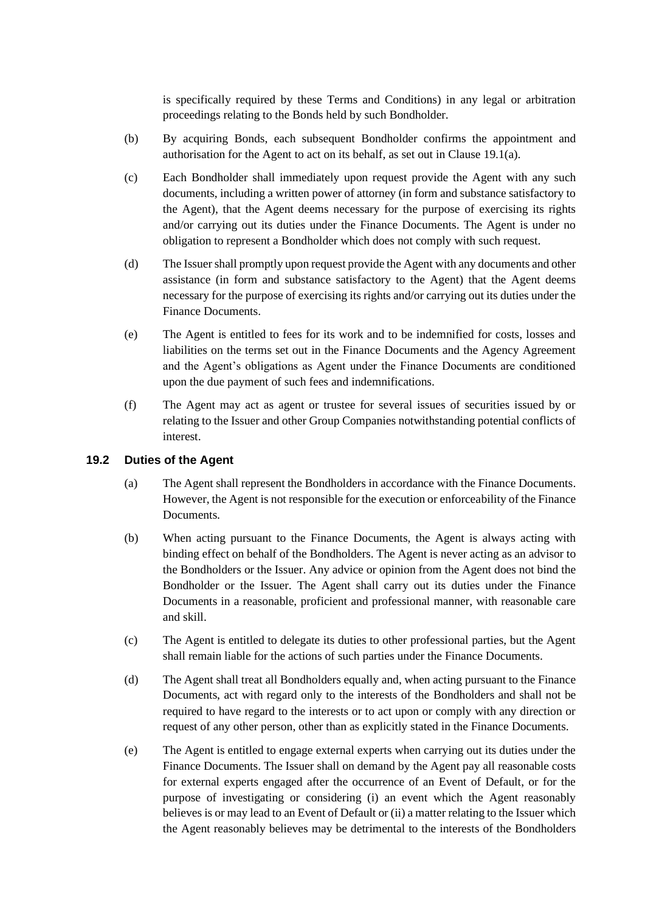is specifically required by these Terms and Conditions) in any legal or arbitration proceedings relating to the Bonds held by such Bondholder.

- (b) By acquiring Bonds, each subsequent Bondholder confirms the appointment and authorisation for the Agent to act on its behalf, as set out in Clause [19.1\(a\).](#page-30-6)
- <span id="page-31-1"></span>(c) Each Bondholder shall immediately upon request provide the Agent with any such documents, including a written power of attorney (in form and substance satisfactory to the Agent), that the Agent deems necessary for the purpose of exercising its rights and/or carrying out its duties under the Finance Documents. The Agent is under no obligation to represent a Bondholder which does not comply with such request.
- (d) The Issuer shall promptly upon request provide the Agent with any documents and other assistance (in form and substance satisfactory to the Agent) that the Agent deems necessary for the purpose of exercising its rights and/or carrying out its duties under the Finance Documents.
- (e) The Agent is entitled to fees for its work and to be indemnified for costs, losses and liabilities on the terms set out in the Finance Documents and the Agency Agreement and the Agent's obligations as Agent under the Finance Documents are conditioned upon the due payment of such fees and indemnifications.
- (f) The Agent may act as agent or trustee for several issues of securities issued by or relating to the Issuer and other Group Companies notwithstanding potential conflicts of interest.

## **19.2 Duties of the Agent**

- (a) The Agent shall represent the Bondholders in accordance with the Finance Documents. However, the Agent is not responsible for the execution or enforceability of the Finance Documents.
- (b) When acting pursuant to the Finance Documents, the Agent is always acting with binding effect on behalf of the Bondholders. The Agent is never acting as an advisor to the Bondholders or the Issuer. Any advice or opinion from the Agent does not bind the Bondholder or the Issuer. The Agent shall carry out its duties under the Finance Documents in a reasonable, proficient and professional manner, with reasonable care and skill.
- (c) The Agent is entitled to delegate its duties to other professional parties, but the Agent shall remain liable for the actions of such parties under the Finance Documents.
- (d) The Agent shall treat all Bondholders equally and, when acting pursuant to the Finance Documents, act with regard only to the interests of the Bondholders and shall not be required to have regard to the interests or to act upon or comply with any direction or request of any other person, other than as explicitly stated in the Finance Documents.
- <span id="page-31-0"></span>(e) The Agent is entitled to engage external experts when carrying out its duties under the Finance Documents. The Issuer shall on demand by the Agent pay all reasonable costs for external experts engaged after the occurrence of an Event of Default, or for the purpose of investigating or considering (i) an event which the Agent reasonably believes is or may lead to an Event of Default or (ii) a matter relating to the Issuer which the Agent reasonably believes may be detrimental to the interests of the Bondholders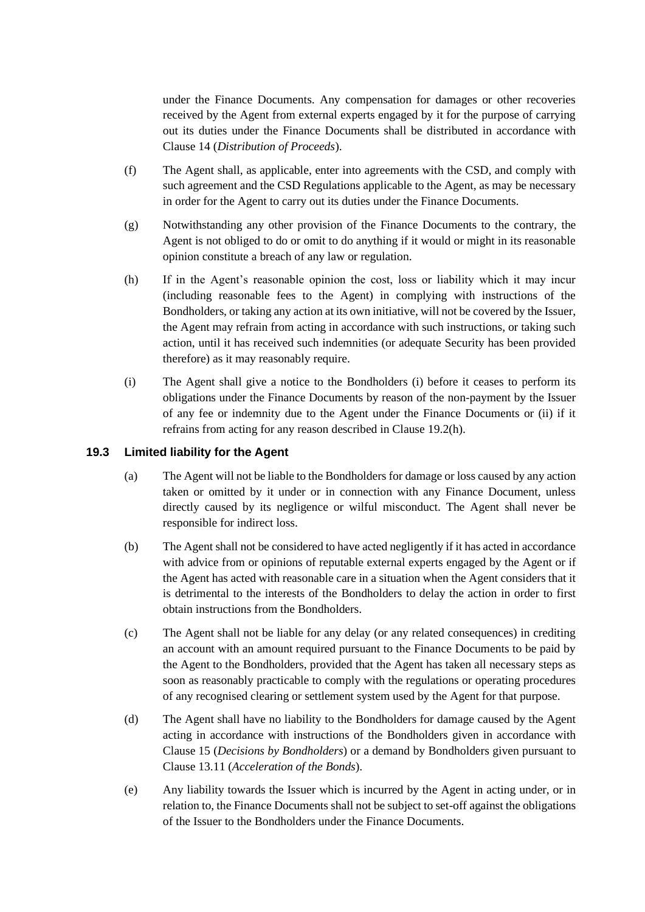under the Finance Documents. Any compensation for damages or other recoveries received by the Agent from external experts engaged by it for the purpose of carrying out its duties under the Finance Documents shall be distributed in accordance with Clause [14](#page-25-0) (*[Distribution of Proceeds](#page-25-0)*).

- (f) The Agent shall, as applicable, enter into agreements with the CSD, and comply with such agreement and the CSD Regulations applicable to the Agent, as may be necessary in order for the Agent to carry out its duties under the Finance Documents.
- (g) Notwithstanding any other provision of the Finance Documents to the contrary, the Agent is not obliged to do or omit to do anything if it would or might in its reasonable opinion constitute a breach of any law or regulation.
- <span id="page-32-0"></span>(h) If in the Agent's reasonable opinion the cost, loss or liability which it may incur (including reasonable fees to the Agent) in complying with instructions of the Bondholders, or taking any action at its own initiative, will not be covered by the Issuer, the Agent may refrain from acting in accordance with such instructions, or taking such action, until it has received such indemnities (or adequate Security has been provided therefore) as it may reasonably require.
- <span id="page-32-1"></span>(i) The Agent shall give a notice to the Bondholders (i) before it ceases to perform its obligations under the Finance Documents by reason of the non-payment by the Issuer of any fee or indemnity due to the Agent under the Finance Documents or (ii) if it refrains from acting for any reason described in Clause [19.2\(h\).](#page-32-0)

## **19.3 Limited liability for the Agent**

- (a) The Agent will not be liable to the Bondholders for damage or loss caused by any action taken or omitted by it under or in connection with any Finance Document, unless directly caused by its negligence or wilful misconduct. The Agent shall never be responsible for indirect loss.
- (b) The Agent shall not be considered to have acted negligently if it has acted in accordance with advice from or opinions of reputable external experts engaged by the Agent or if the Agent has acted with reasonable care in a situation when the Agent considers that it is detrimental to the interests of the Bondholders to delay the action in order to first obtain instructions from the Bondholders.
- (c) The Agent shall not be liable for any delay (or any related consequences) in crediting an account with an amount required pursuant to the Finance Documents to be paid by the Agent to the Bondholders, provided that the Agent has taken all necessary steps as soon as reasonably practicable to comply with the regulations or operating procedures of any recognised clearing or settlement system used by the Agent for that purpose.
- (d) The Agent shall have no liability to the Bondholders for damage caused by the Agent acting in accordance with instructions of the Bondholders given in accordance with Clause [15](#page-26-0) (*[Decisions by Bondholders](#page-26-0)*) or a demand by Bondholders given pursuant to Clause [13.11](#page-24-1) (*[Acceleration of the Bonds](#page-24-1)*).
- (e) Any liability towards the Issuer which is incurred by the Agent in acting under, or in relation to, the Finance Documents shall not be subject to set-off against the obligations of the Issuer to the Bondholders under the Finance Documents.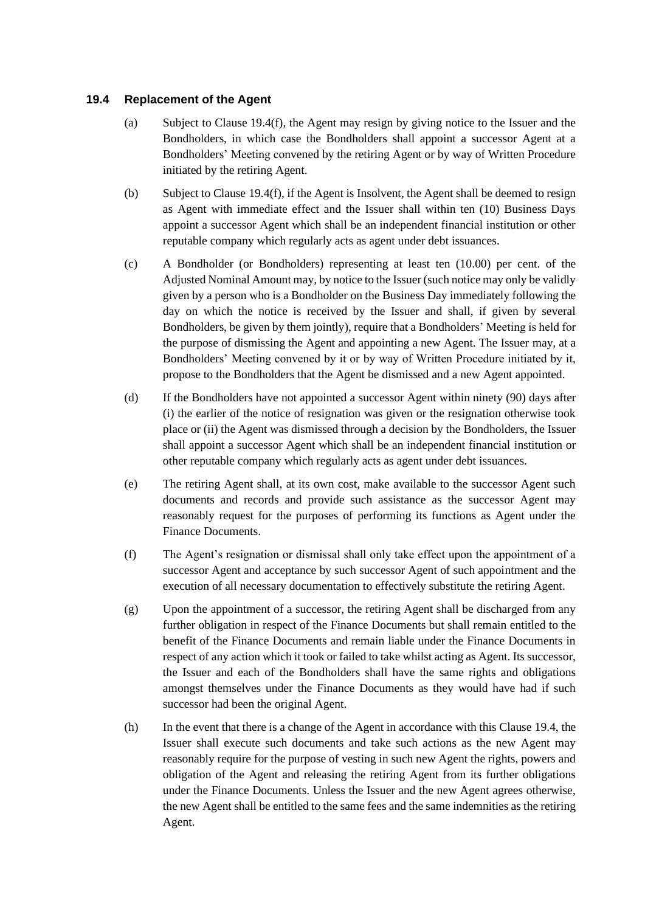## <span id="page-33-2"></span>**19.4 Replacement of the Agent**

- (a) Subject to Clause [19.4\(f\),](#page-33-1) the Agent may resign by giving notice to the Issuer and the Bondholders, in which case the Bondholders shall appoint a successor Agent at a Bondholders' Meeting convened by the retiring Agent or by way of Written Procedure initiated by the retiring Agent.
- (b) Subject to Clause [19.4\(f\),](#page-33-1) if the Agent is Insolvent, the Agent shall be deemed to resign as Agent with immediate effect and the Issuer shall within ten (10) Business Days appoint a successor Agent which shall be an independent financial institution or other reputable company which regularly acts as agent under debt issuances.
- <span id="page-33-0"></span>(c) A Bondholder (or Bondholders) representing at least ten (10.00) per cent. of the Adjusted Nominal Amount may, by notice to the Issuer (such notice may only be validly given by a person who is a Bondholder on the Business Day immediately following the day on which the notice is received by the Issuer and shall, if given by several Bondholders, be given by them jointly), require that a Bondholders' Meeting is held for the purpose of dismissing the Agent and appointing a new Agent. The Issuer may, at a Bondholders' Meeting convened by it or by way of Written Procedure initiated by it, propose to the Bondholders that the Agent be dismissed and a new Agent appointed.
- (d) If the Bondholders have not appointed a successor Agent within ninety (90) days after (i) the earlier of the notice of resignation was given or the resignation otherwise took place or (ii) the Agent was dismissed through a decision by the Bondholders, the Issuer shall appoint a successor Agent which shall be an independent financial institution or other reputable company which regularly acts as agent under debt issuances.
- (e) The retiring Agent shall, at its own cost, make available to the successor Agent such documents and records and provide such assistance as the successor Agent may reasonably request for the purposes of performing its functions as Agent under the Finance Documents.
- <span id="page-33-1"></span>(f) The Agent's resignation or dismissal shall only take effect upon the appointment of a successor Agent and acceptance by such successor Agent of such appointment and the execution of all necessary documentation to effectively substitute the retiring Agent.
- (g) Upon the appointment of a successor, the retiring Agent shall be discharged from any further obligation in respect of the Finance Documents but shall remain entitled to the benefit of the Finance Documents and remain liable under the Finance Documents in respect of any action which it took or failed to take whilst acting as Agent. Its successor, the Issuer and each of the Bondholders shall have the same rights and obligations amongst themselves under the Finance Documents as they would have had if such successor had been the original Agent.
- (h) In the event that there is a change of the Agent in accordance with this Clause [19.4,](#page-33-2) the Issuer shall execute such documents and take such actions as the new Agent may reasonably require for the purpose of vesting in such new Agent the rights, powers and obligation of the Agent and releasing the retiring Agent from its further obligations under the Finance Documents. Unless the Issuer and the new Agent agrees otherwise, the new Agent shall be entitled to the same fees and the same indemnities as the retiring Agent.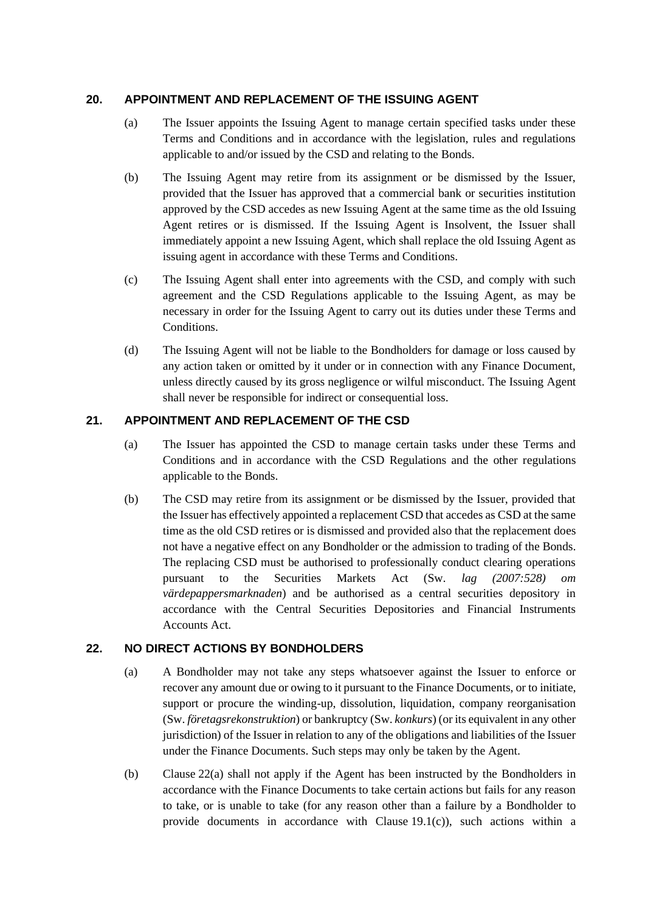## <span id="page-34-0"></span>**20. APPOINTMENT AND REPLACEMENT OF THE ISSUING AGENT**

- (a) The Issuer appoints the Issuing Agent to manage certain specified tasks under these Terms and Conditions and in accordance with the legislation, rules and regulations applicable to and/or issued by the CSD and relating to the Bonds.
- (b) The Issuing Agent may retire from its assignment or be dismissed by the Issuer, provided that the Issuer has approved that a commercial bank or securities institution approved by the CSD accedes as new Issuing Agent at the same time as the old Issuing Agent retires or is dismissed. If the Issuing Agent is Insolvent, the Issuer shall immediately appoint a new Issuing Agent, which shall replace the old Issuing Agent as issuing agent in accordance with these Terms and Conditions.
- (c) The Issuing Agent shall enter into agreements with the CSD, and comply with such agreement and the CSD Regulations applicable to the Issuing Agent, as may be necessary in order for the Issuing Agent to carry out its duties under these Terms and Conditions.
- (d) The Issuing Agent will not be liable to the Bondholders for damage or loss caused by any action taken or omitted by it under or in connection with any Finance Document, unless directly caused by its gross negligence or wilful misconduct. The Issuing Agent shall never be responsible for indirect or consequential loss.

## <span id="page-34-1"></span>**21. APPOINTMENT AND REPLACEMENT OF THE CSD**

- (a) The Issuer has appointed the CSD to manage certain tasks under these Terms and Conditions and in accordance with the CSD Regulations and the other regulations applicable to the Bonds.
- (b) The CSD may retire from its assignment or be dismissed by the Issuer, provided that the Issuer has effectively appointed a replacement CSD that accedes as CSD at the same time as the old CSD retires or is dismissed and provided also that the replacement does not have a negative effect on any Bondholder or the admission to trading of the Bonds. The replacing CSD must be authorised to professionally conduct clearing operations pursuant to the Securities Markets Act (Sw. *lag (2007:528) om värdepappersmarknaden*) and be authorised as a central securities depository in accordance with the Central Securities Depositories and Financial Instruments Accounts Act.

## <span id="page-34-3"></span><span id="page-34-2"></span>**22. NO DIRECT ACTIONS BY BONDHOLDERS**

- (a) A Bondholder may not take any steps whatsoever against the Issuer to enforce or recover any amount due or owing to it pursuant to the Finance Documents, or to initiate, support or procure the winding-up, dissolution, liquidation, company reorganisation (Sw. *företagsrekonstruktion*) or bankruptcy (Sw. *konkurs*) (or its equivalent in any other jurisdiction) of the Issuer in relation to any of the obligations and liabilities of the Issuer under the Finance Documents. Such steps may only be taken by the Agent.
- (b) Clause [22\(a\)](#page-34-3) shall not apply if the Agent has been instructed by the Bondholders in accordance with the Finance Documents to take certain actions but fails for any reason to take, or is unable to take (for any reason other than a failure by a Bondholder to provide documents in accordance with Clause [19.1\(c\)\)](#page-31-1), such actions within a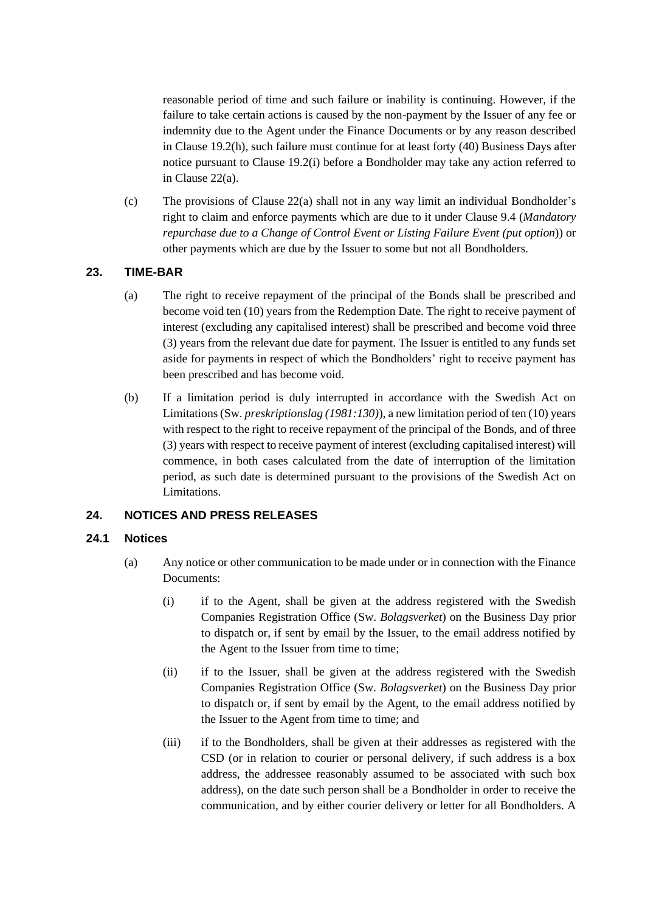reasonable period of time and such failure or inability is continuing. However, if the failure to take certain actions is caused by the non-payment by the Issuer of any fee or indemnity due to the Agent under the Finance Documents or by any reason described in Clause [19.2\(h\),](#page-32-0) such failure must continue for at least forty (40) Business Days after notice pursuant to Clause [19.2\(i\)](#page-32-1) before a Bondholder may take any action referred to in Clause [22\(a\).](#page-34-3)

(c) The provisions of Clause [22\(a\)](#page-34-3) shall not in any way limit an individual Bondholder's right to claim and enforce payments which are due to it under Clause [9.4](#page-17-4) (*[Mandatory](#page-17-4)  [repurchase due to a Change of Control Event or Listing Failure Event \(put option](#page-17-4)*)) or other payments which are due by the Issuer to some but not all Bondholders.

## <span id="page-35-0"></span>**23. TIME-BAR**

- (a) The right to receive repayment of the principal of the Bonds shall be prescribed and become void ten (10) years from the Redemption Date. The right to receive payment of interest (excluding any capitalised interest) shall be prescribed and become void three (3) years from the relevant due date for payment. The Issuer is entitled to any funds set aside for payments in respect of which the Bondholders' right to receive payment has been prescribed and has become void.
- (b) If a limitation period is duly interrupted in accordance with the Swedish Act on Limitations (Sw. *preskriptionslag (1981:130)*), a new limitation period of ten (10) years with respect to the right to receive repayment of the principal of the Bonds, and of three (3) years with respect to receive payment of interest (excluding capitalised interest) will commence, in both cases calculated from the date of interruption of the limitation period, as such date is determined pursuant to the provisions of the Swedish Act on Limitations.

## <span id="page-35-1"></span>**24. NOTICES AND PRESS RELEASES**

## <span id="page-35-2"></span>**24.1 Notices**

- (a) Any notice or other communication to be made under or in connection with the Finance Documents:
	- (i) if to the Agent, shall be given at the address registered with the Swedish Companies Registration Office (Sw. *Bolagsverket*) on the Business Day prior to dispatch or, if sent by email by the Issuer, to the email address notified by the Agent to the Issuer from time to time;
	- (ii) if to the Issuer, shall be given at the address registered with the Swedish Companies Registration Office (Sw. *Bolagsverket*) on the Business Day prior to dispatch or, if sent by email by the Agent, to the email address notified by the Issuer to the Agent from time to time; and
	- (iii) if to the Bondholders, shall be given at their addresses as registered with the CSD (or in relation to courier or personal delivery, if such address is a box address, the addressee reasonably assumed to be associated with such box address), on the date such person shall be a Bondholder in order to receive the communication, and by either courier delivery or letter for all Bondholders. A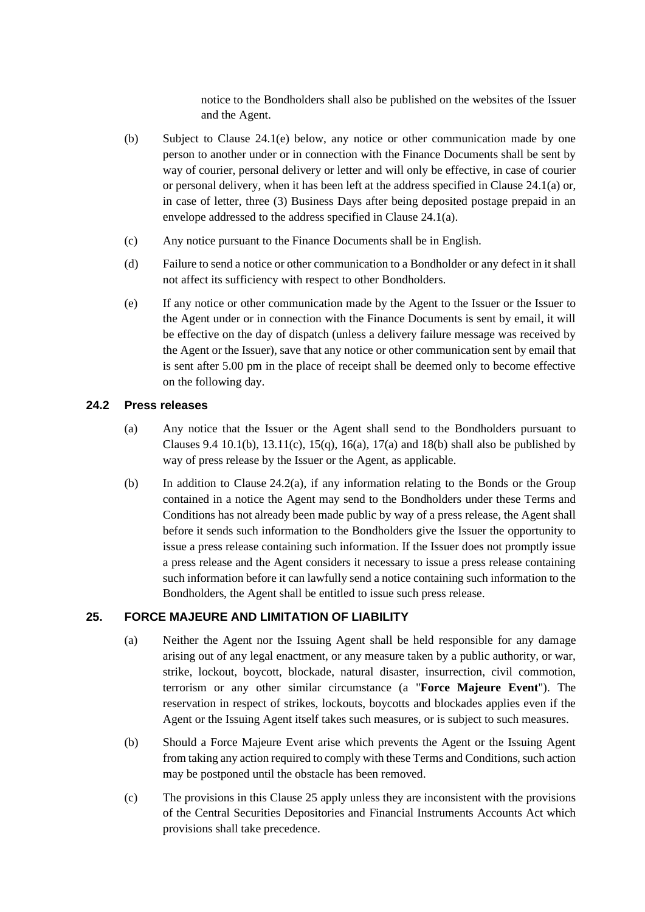notice to the Bondholders shall also be published on the websites of the Issuer and the Agent.

- (b) Subject to Clause [24.1\(e\)](#page-36-2) below, any notice or other communication made by one person to another under or in connection with the Finance Documents shall be sent by way of courier, personal delivery or letter and will only be effective, in case of courier or personal delivery, when it has been left at the address specified in Clause [24.1\(a\)](#page-35-2) or, in case of letter, three (3) Business Days after being deposited postage prepaid in an envelope addressed to the address specified in Clause [24.1\(a\).](#page-35-2)
- (c) Any notice pursuant to the Finance Documents shall be in English.
- (d) Failure to send a notice or other communication to a Bondholder or any defect in it shall not affect its sufficiency with respect to other Bondholders.
- <span id="page-36-2"></span>(e) If any notice or other communication made by the Agent to the Issuer or the Issuer to the Agent under or in connection with the Finance Documents is sent by email, it will be effective on the day of dispatch (unless a delivery failure message was received by the Agent or the Issuer), save that any notice or other communication sent by email that is sent after 5.00 pm in the place of receipt shall be deemed only to become effective on the following day.

## <span id="page-36-3"></span>**24.2 Press releases**

- (a) Any notice that the Issuer or the Agent shall send to the Bondholders pursuant to Clauses [9.4](#page-17-4) [10.1\(b\),](#page-19-0) [13.11\(c\),](#page-25-1) [15\(q\),](#page-29-5) [16\(a\),](#page-29-2) [17\(a\)](#page-29-3) and [18\(b\)](#page-30-7) shall also be published by way of press release by the Issuer or the Agent, as applicable.
- (b) In addition to Clause [24.2\(a\),](#page-36-3) if any information relating to the Bonds or the Group contained in a notice the Agent may send to the Bondholders under these Terms and Conditions has not already been made public by way of a press release, the Agent shall before it sends such information to the Bondholders give the Issuer the opportunity to issue a press release containing such information. If the Issuer does not promptly issue a press release and the Agent considers it necessary to issue a press release containing such information before it can lawfully send a notice containing such information to the Bondholders, the Agent shall be entitled to issue such press release.

## <span id="page-36-1"></span><span id="page-36-0"></span>**25. FORCE MAJEURE AND LIMITATION OF LIABILITY**

- (a) Neither the Agent nor the Issuing Agent shall be held responsible for any damage arising out of any legal enactment, or any measure taken by a public authority, or war, strike, lockout, boycott, blockade, natural disaster, insurrection, civil commotion, terrorism or any other similar circumstance (a "**Force Majeure Event**"). The reservation in respect of strikes, lockouts, boycotts and blockades applies even if the Agent or the Issuing Agent itself takes such measures, or is subject to such measures.
- (b) Should a Force Majeure Event arise which prevents the Agent or the Issuing Agent from taking any action required to comply with these Terms and Conditions, such action may be postponed until the obstacle has been removed.
- (c) The provisions in this Clause [25](#page-36-0) apply unless they are inconsistent with the provisions of the Central Securities Depositories and Financial Instruments Accounts Act which provisions shall take precedence.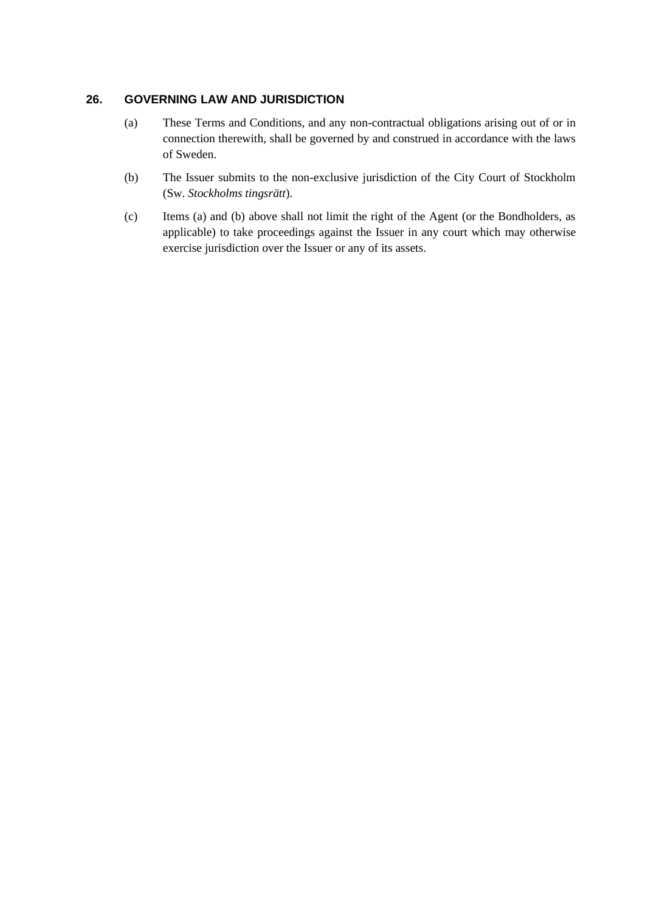## <span id="page-37-0"></span>**26. GOVERNING LAW AND JURISDICTION**

- (a) These Terms and Conditions, and any non-contractual obligations arising out of or in connection therewith, shall be governed by and construed in accordance with the laws of Sweden.
- (b) The Issuer submits to the non-exclusive jurisdiction of the City Court of Stockholm (Sw. *Stockholms tingsrätt*).
- (c) Items (a) and (b) above shall not limit the right of the Agent (or the Bondholders, as applicable) to take proceedings against the Issuer in any court which may otherwise exercise jurisdiction over the Issuer or any of its assets.